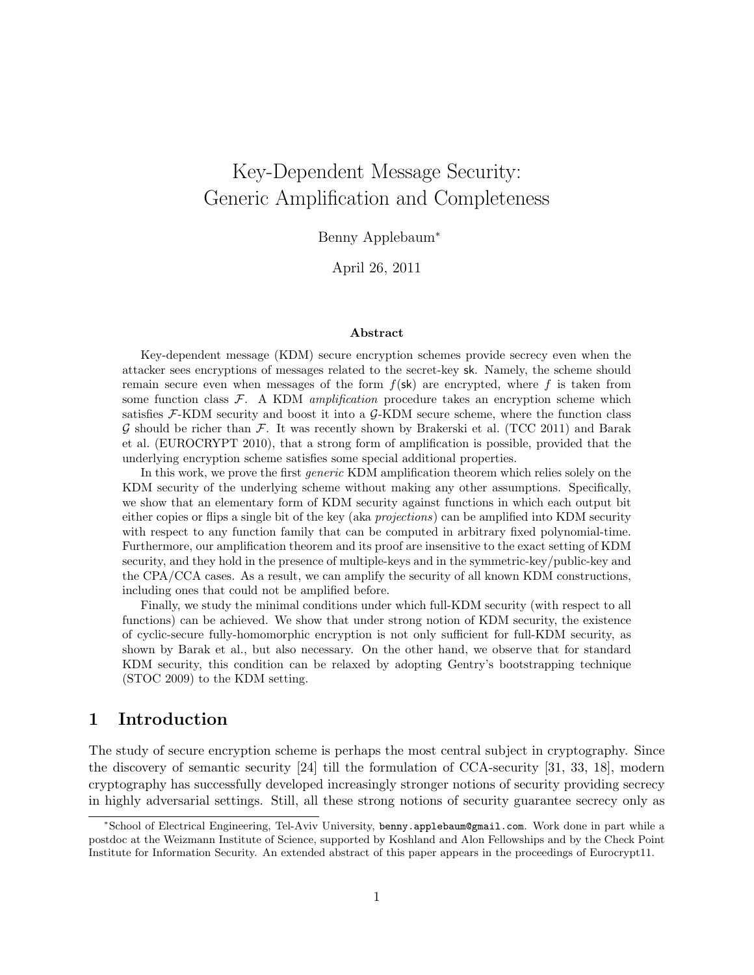# Key-Dependent Message Security: Generic Amplification and Completeness

Benny Applebaum*<sup>∗</sup>*

April 26, 2011

#### **Abstract**

Key-dependent message (KDM) secure encryption schemes provide secrecy even when the attacker sees encryptions of messages related to the secret-key sk. Namely, the scheme should remain secure even when messages of the form  $f(\mathsf{sk})$  are encrypted, where f is taken from some function class *F*. A KDM *amplification* procedure takes an encryption scheme which satisfies *F*-KDM security and boost it into a *G*-KDM secure scheme, where the function class *G* should be richer than *F*. It was recently shown by Brakerski et al. (TCC 2011) and Barak et al. (EUROCRYPT 2010), that a strong form of amplification is possible, provided that the underlying encryption scheme satisfies some special additional properties.

In this work, we prove the first *generic* KDM amplification theorem which relies solely on the KDM security of the underlying scheme without making any other assumptions. Specifically, we show that an elementary form of KDM security against functions in which each output bit either copies or flips a single bit of the key (aka *projections*) can be amplified into KDM security with respect to any function family that can be computed in arbitrary fixed polynomial-time. Furthermore, our amplification theorem and its proof are insensitive to the exact setting of KDM security, and they hold in the presence of multiple-keys and in the symmetric-key/public-key and the CPA/CCA cases. As a result, we can amplify the security of all known KDM constructions, including ones that could not be amplified before.

Finally, we study the minimal conditions under which full-KDM security (with respect to all functions) can be achieved. We show that under strong notion of KDM security, the existence of cyclic-secure fully-homomorphic encryption is not only sufficient for full-KDM security, as shown by Barak et al., but also necessary. On the other hand, we observe that for standard KDM security, this condition can be relaxed by adopting Gentry's bootstrapping technique (STOC 2009) to the KDM setting.

# **1 Introduction**

The study of secure encryption scheme is perhaps the most central subject in cryptography. Since the discovery of semantic security [24] till the formulation of CCA-security [31, 33, 18], modern cryptography has successfully developed increasingly stronger notions of security providing secrecy in highly adversarial settings. Still, all these strong notions of security guarantee secrecy only as

*<sup>∗</sup>*School of Electrical Engineering, Tel-Aviv University, benny.applebaum@gmail.com. Work done in part while a postdoc at the Weizmann Institute of Science, supported by Koshland and Alon Fellowships and by the Check Point Institute for Information Security. An extended abstract of this paper appears in the proceedings of Eurocrypt11.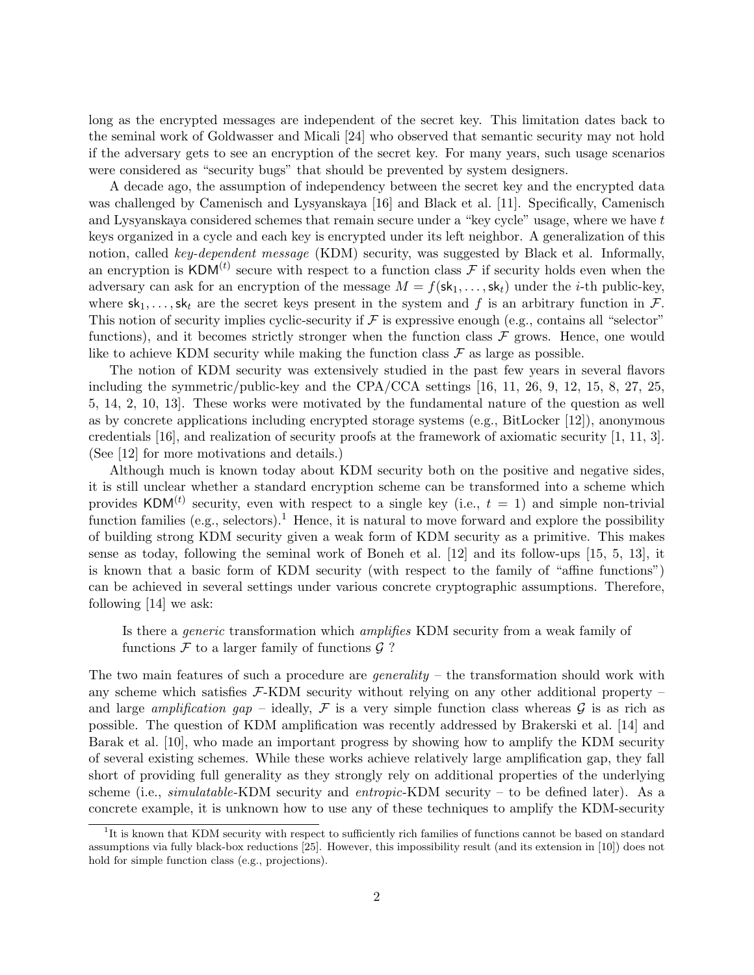long as the encrypted messages are independent of the secret key. This limitation dates back to the seminal work of Goldwasser and Micali [24] who observed that semantic security may not hold if the adversary gets to see an encryption of the secret key. For many years, such usage scenarios were considered as "security bugs" that should be prevented by system designers.

A decade ago, the assumption of independency between the secret key and the encrypted data was challenged by Camenisch and Lysyanskaya [16] and Black et al. [11]. Specifically, Camenisch and Lysyanskaya considered schemes that remain secure under a "key cycle" usage, where we have *t* keys organized in a cycle and each key is encrypted under its left neighbor. A generalization of this notion, called *key-dependent message* (KDM) security, was suggested by Black et al. Informally, an encryption is  $KDM^{(t)}$  secure with respect to a function class  $\mathcal F$  if security holds even when the adversary can ask for an encryption of the message  $M = f(\mathsf{sk}_1, \ldots, \mathsf{sk}_t)$  under the *i*-th public-key, where  $sk_1, \ldots, sk_t$  are the secret keys present in the system and f is an arbitrary function in F. This notion of security implies cyclic-security if  $\mathcal F$  is expressive enough (e.g., contains all "selector" functions), and it becomes strictly stronger when the function class  $\mathcal F$  grows. Hence, one would like to achieve KDM security while making the function class  $\mathcal F$  as large as possible.

The notion of KDM security was extensively studied in the past few years in several flavors including the symmetric/public-key and the CPA/CCA settings [16, 11, 26, 9, 12, 15, 8, 27, 25, 5, 14, 2, 10, 13]. These works were motivated by the fundamental nature of the question as well as by concrete applications including encrypted storage systems (e.g., BitLocker [12]), anonymous credentials [16], and realization of security proofs at the framework of axiomatic security [1, 11, 3]. (See [12] for more motivations and details.)

Although much is known today about KDM security both on the positive and negative sides, it is still unclear whether a standard encryption scheme can be transformed into a scheme which provides  $KDM^{(t)}$  security, even with respect to a single key (i.e.,  $t = 1$ ) and simple non-trivial function families (e.g., selectors).<sup>1</sup> Hence, it is natural to move forward and explore the possibility of building strong KDM security given a weak form of KDM security as a primitive. This makes sense as today, following the seminal work of Boneh et al. [12] and its follow-ups [15, 5, 13], it is known that a basic form of KDM security (with respect to the family of "affine functions") can be achieved in several settings under various concrete cryptographic assumptions. Therefore, following [14] we ask:

Is there a *generic* transformation which *amplifies* KDM security from a weak family of functions  $\mathcal F$  to a larger family of functions  $\mathcal G$ ?

The two main features of such a procedure are *generality* – the transformation should work with any scheme which satisfies *F*-KDM security without relying on any other additional property – and large *amplification gap* – ideally,  $\mathcal F$  is a very simple function class whereas  $\mathcal G$  is as rich as possible. The question of KDM amplification was recently addressed by Brakerski et al. [14] and Barak et al. [10], who made an important progress by showing how to amplify the KDM security of several existing schemes. While these works achieve relatively large amplification gap, they fall short of providing full generality as they strongly rely on additional properties of the underlying scheme (i.e., *simulatable*-KDM security and *entropic*-KDM security – to be defined later). As a concrete example, it is unknown how to use any of these techniques to amplify the KDM-security

<sup>&</sup>lt;sup>1</sup>It is known that KDM security with respect to sufficiently rich families of functions cannot be based on standard assumptions via fully black-box reductions [25]. However, this impossibility result (and its extension in [10]) does not hold for simple function class (e.g., projections).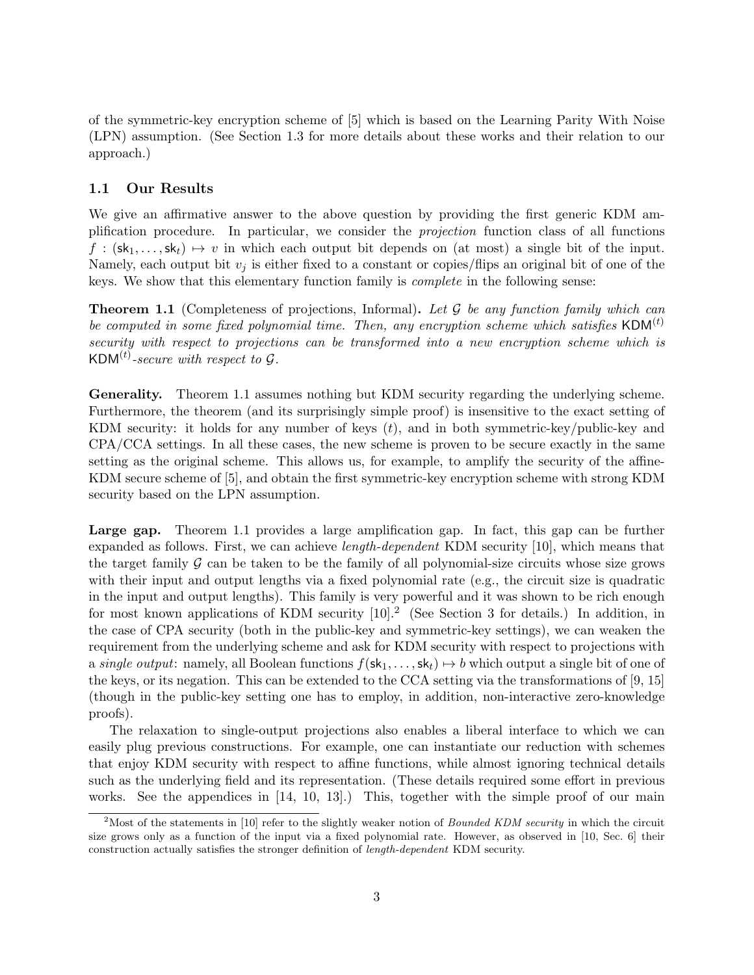of the symmetric-key encryption scheme of [5] which is based on the Learning Parity With Noise (LPN) assumption. (See Section 1.3 for more details about these works and their relation to our approach.)

### **1.1 Our Results**

We give an affirmative answer to the above question by providing the first generic KDM amplification procedure. In particular, we consider the *projection* function class of all functions  $f : (\mathsf{sk}_1, \ldots, \mathsf{sk}_t) \mapsto v$  in which each output bit depends on (at most) a single bit of the input. Namely, each output bit  $v_j$  is either fixed to a constant or copies/flips an original bit of one of the keys. We show that this elementary function family is *complete* in the following sense:

**Theorem 1.1** (Completeness of projections, Informal)**.** *Let G be any function family which can be computed in some fixed polynomial time. Then, any encryption scheme which satisfies* KDM(*t*) *security with respect to projections can be transformed into a new encryption scheme which is*  $KDM<sup>(t)</sup>$ -secure with respect to  $G$ .

**Generality.** Theorem 1.1 assumes nothing but KDM security regarding the underlying scheme. Furthermore, the theorem (and its surprisingly simple proof) is insensitive to the exact setting of KDM security: it holds for any number of keys (*t*), and in both symmetric-key/public-key and CPA/CCA settings. In all these cases, the new scheme is proven to be secure exactly in the same setting as the original scheme. This allows us, for example, to amplify the security of the affine-KDM secure scheme of [5], and obtain the first symmetric-key encryption scheme with strong KDM security based on the LPN assumption.

Large gap. Theorem 1.1 provides a large amplification gap. In fact, this gap can be further expanded as follows. First, we can achieve *length-dependent* KDM security [10], which means that the target family  $\mathcal G$  can be taken to be the family of all polynomial-size circuits whose size grows with their input and output lengths via a fixed polynomial rate (e.g., the circuit size is quadratic in the input and output lengths). This family is very powerful and it was shown to be rich enough for most known applications of KDM security  $[10]$ <sup>2</sup> (See Section 3 for details.) In addition, in the case of CPA security (both in the public-key and symmetric-key settings), we can weaken the requirement from the underlying scheme and ask for KDM security with respect to projections with a *single output*: namely, all Boolean functions  $f(\mathsf{sk}_1, \ldots, \mathsf{sk}_t) \mapsto b$  which output a single bit of one of the keys, or its negation. This can be extended to the CCA setting via the transformations of [9, 15] (though in the public-key setting one has to employ, in addition, non-interactive zero-knowledge proofs).

The relaxation to single-output projections also enables a liberal interface to which we can easily plug previous constructions. For example, one can instantiate our reduction with schemes that enjoy KDM security with respect to affine functions, while almost ignoring technical details such as the underlying field and its representation. (These details required some effort in previous works. See the appendices in [14, 10, 13].) This, together with the simple proof of our main

<sup>&</sup>lt;sup>2</sup>Most of the statements in [10] refer to the slightly weaker notion of *Bounded KDM security* in which the circuit size grows only as a function of the input via a fixed polynomial rate. However, as observed in [10, Sec. 6] their construction actually satisfies the stronger definition of *length-dependent* KDM security.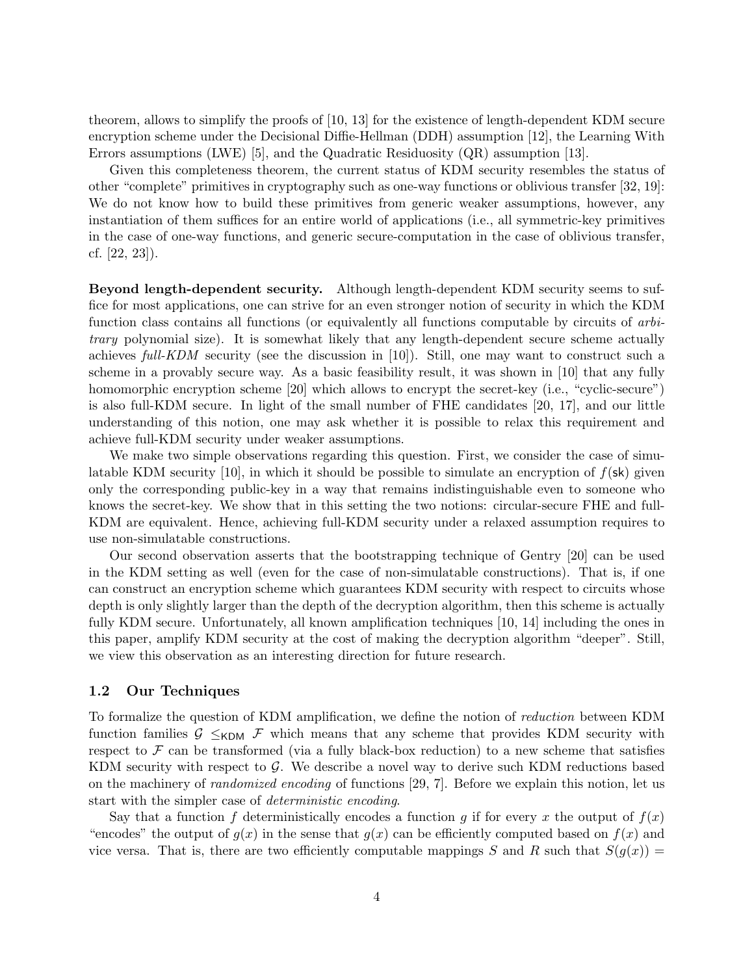theorem, allows to simplify the proofs of [10, 13] for the existence of length-dependent KDM secure encryption scheme under the Decisional Diffie-Hellman (DDH) assumption [12], the Learning With Errors assumptions (LWE) [5], and the Quadratic Residuosity (QR) assumption [13].

Given this completeness theorem, the current status of KDM security resembles the status of other "complete" primitives in cryptography such as one-way functions or oblivious transfer [32, 19]: We do not know how to build these primitives from generic weaker assumptions, however, any instantiation of them suffices for an entire world of applications (i.e., all symmetric-key primitives in the case of one-way functions, and generic secure-computation in the case of oblivious transfer, cf. [22, 23]).

**Beyond length-dependent security.** Although length-dependent KDM security seems to suffice for most applications, one can strive for an even stronger notion of security in which the KDM function class contains all functions (or equivalently all functions computable by circuits of *arbitrary* polynomial size). It is somewhat likely that any length-dependent secure scheme actually achieves *full-KDM* security (see the discussion in [10]). Still, one may want to construct such a scheme in a provably secure way. As a basic feasibility result, it was shown in [10] that any fully homomorphic encryption scheme [20] which allows to encrypt the secret-key (i.e., "cyclic-secure") is also full-KDM secure. In light of the small number of FHE candidates [20, 17], and our little understanding of this notion, one may ask whether it is possible to relax this requirement and achieve full-KDM security under weaker assumptions.

We make two simple observations regarding this question. First, we consider the case of simulatable KDM security [10], in which it should be possible to simulate an encryption of  $f(\mathsf{sk})$  given only the corresponding public-key in a way that remains indistinguishable even to someone who knows the secret-key. We show that in this setting the two notions: circular-secure FHE and full-KDM are equivalent. Hence, achieving full-KDM security under a relaxed assumption requires to use non-simulatable constructions.

Our second observation asserts that the bootstrapping technique of Gentry [20] can be used in the KDM setting as well (even for the case of non-simulatable constructions). That is, if one can construct an encryption scheme which guarantees KDM security with respect to circuits whose depth is only slightly larger than the depth of the decryption algorithm, then this scheme is actually fully KDM secure. Unfortunately, all known amplification techniques [10, 14] including the ones in this paper, amplify KDM security at the cost of making the decryption algorithm "deeper". Still, we view this observation as an interesting direction for future research.

#### **1.2 Our Techniques**

To formalize the question of KDM amplification, we define the notion of *reduction* between KDM function families  $\mathcal{G} \leq_{KDM} \mathcal{F}$  which means that any scheme that provides KDM security with respect to  $\mathcal F$  can be transformed (via a fully black-box reduction) to a new scheme that satisfies KDM security with respect to *G*. We describe a novel way to derive such KDM reductions based on the machinery of *randomized encoding* of functions [29, 7]. Before we explain this notion, let us start with the simpler case of *deterministic encoding*.

Say that a function f deterministically encodes a function g if for every x the output of  $f(x)$ "encodes" the output of  $g(x)$  in the sense that  $g(x)$  can be efficiently computed based on  $f(x)$  and vice versa. That is, there are two efficiently computable mappings *S* and *R* such that  $S(g(x))$  =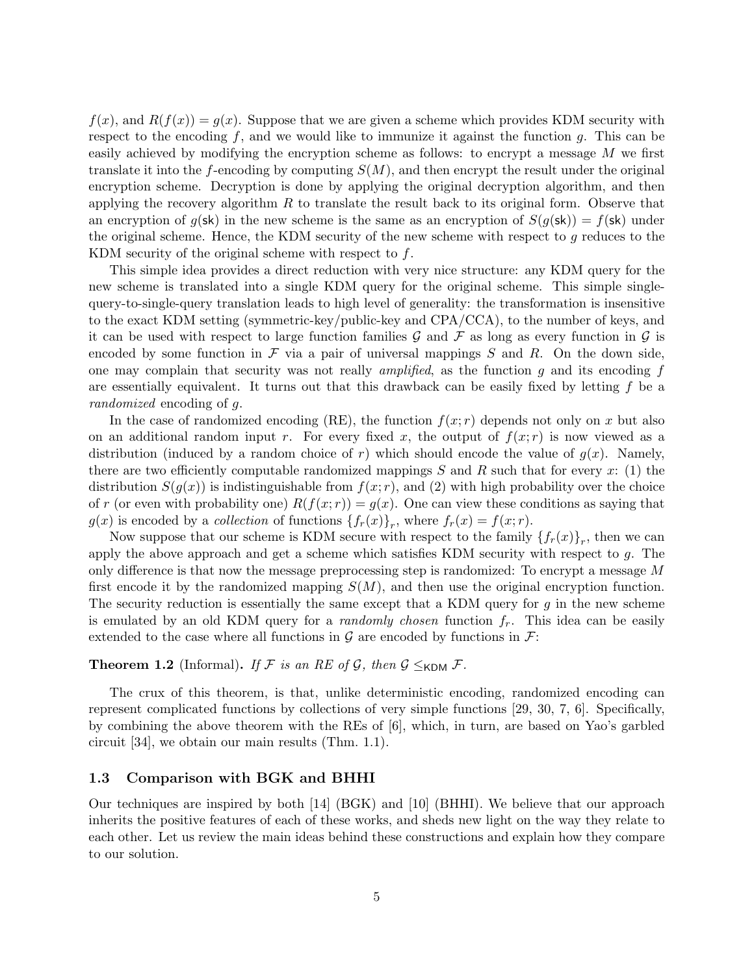$f(x)$ , and  $R(f(x)) = g(x)$ . Suppose that we are given a scheme which provides KDM security with respect to the encoding *f*, and we would like to immunize it against the function *g*. This can be easily achieved by modifying the encryption scheme as follows: to encrypt a message *M* we first translate it into the  $f$ -encoding by computing  $S(M)$ , and then encrypt the result under the original encryption scheme. Decryption is done by applying the original decryption algorithm, and then applying the recovery algorithm *R* to translate the result back to its original form. Observe that an encryption of  $g(\mathsf{sk})$  in the new scheme is the same as an encryption of  $S(g(\mathsf{sk})) = f(\mathsf{sk})$  under the original scheme. Hence, the KDM security of the new scheme with respect to *g* reduces to the KDM security of the original scheme with respect to *f*.

This simple idea provides a direct reduction with very nice structure: any KDM query for the new scheme is translated into a single KDM query for the original scheme. This simple singlequery-to-single-query translation leads to high level of generality: the transformation is insensitive to the exact KDM setting (symmetric-key/public-key and CPA/CCA), to the number of keys, and it can be used with respect to large function families  $\mathcal G$  and  $\mathcal F$  as long as every function in  $\mathcal G$  is encoded by some function in  $\mathcal F$  via a pair of universal mappings  $S$  and  $R$ . On the down side, one may complain that security was not really *amplified*, as the function *g* and its encoding *f* are essentially equivalent. It turns out that this drawback can be easily fixed by letting *f* be a *randomized* encoding of *g*.

In the case of randomized encoding (RE), the function  $f(x; r)$  depends not only on x but also on an additional random input *r*. For every fixed *x*, the output of  $f(x; r)$  is now viewed as a distribution (induced by a random choice of  $r$ ) which should encode the value of  $g(x)$ . Namely, there are two efficiently computable randomized mappings *S* and *R* such that for every *x*: (1) the distribution  $S(g(x))$  is indistinguishable from  $f(x; r)$ , and (2) with high probability over the choice of *r* (or even with probability one)  $R(f(x; r)) = g(x)$ . One can view these conditions as saying that  $g(x)$  is encoded by a *collection* of functions  ${f_r(x)}_r$ , where  $f_r(x) = f(x; r)$ .

Now suppose that our scheme is KDM secure with respect to the family  $\{f_r(x)\}_r$ , then we can apply the above approach and get a scheme which satisfies KDM security with respect to *g*. The only difference is that now the message preprocessing step is randomized: To encrypt a message *M* first encode it by the randomized mapping *S*(*M*), and then use the original encryption function. The security reduction is essentially the same except that a KDM query for *g* in the new scheme is emulated by an old KDM query for a *randomly chosen* function *fr*. This idea can be easily extended to the case where all functions in  $G$  are encoded by functions in  $F$ :

**Theorem 1.2** (Informal). If  $F$  is an RE of  $G$ *, then*  $G \leq_{KDM} F$ *.* 

The crux of this theorem, is that, unlike deterministic encoding, randomized encoding can represent complicated functions by collections of very simple functions [29, 30, 7, 6]. Specifically, by combining the above theorem with the REs of [6], which, in turn, are based on Yao's garbled circuit [34], we obtain our main results (Thm. 1.1).

### **1.3 Comparison with BGK and BHHI**

Our techniques are inspired by both [14] (BGK) and [10] (BHHI). We believe that our approach inherits the positive features of each of these works, and sheds new light on the way they relate to each other. Let us review the main ideas behind these constructions and explain how they compare to our solution.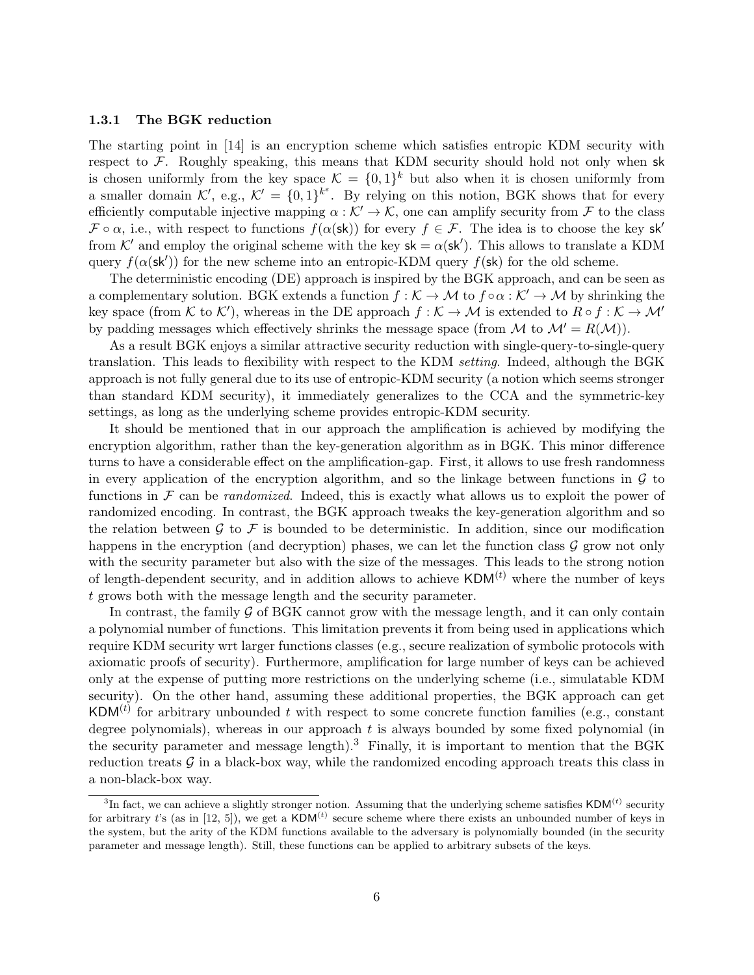### **1.3.1 The BGK reduction**

The starting point in [14] is an encryption scheme which satisfies entropic KDM security with respect to  $F$ . Roughly speaking, this means that KDM security should hold not only when sk is chosen uniformly from the key space  $K = \{0,1\}^k$  but also when it is chosen uniformly from a smaller domain  $K'$ , e.g.,  $K' = \{0,1\}^{k^{\varepsilon}}$ . By relying on this notion, BGK shows that for every efficiently computable injective mapping  $\alpha : \mathcal{K}' \to \mathcal{K}$ , one can amplify security from  $\mathcal F$  to the class  $\mathcal{F} \circ \alpha$ , i.e., with respect to functions  $f(\alpha(\mathsf{sk}))$  for every  $f \in \mathcal{F}$ . The idea is to choose the key sk<sup>'</sup> from  $K'$  and employ the original scheme with the key  $sk = \alpha (sk')$ . This allows to translate a KDM query  $f(\alpha(\mathsf{sk}'))$  for the new scheme into an entropic-KDM query  $f(\mathsf{sk})$  for the old scheme.

The deterministic encoding (DE) approach is inspired by the BGK approach, and can be seen as a complementary solution. BGK extends a function  $f : K \to M$  to  $f \circ \alpha : K' \to M$  by shrinking the key space (from  $K$  to  $K'$ ), whereas in the DE approach  $f: K \to M$  is extended to  $R \circ f: K \to M'$ by padding messages which effectively shrinks the message space (from  $M$  to  $M' = R(M)$ ).

As a result BGK enjoys a similar attractive security reduction with single-query-to-single-query translation. This leads to flexibility with respect to the KDM *setting*. Indeed, although the BGK approach is not fully general due to its use of entropic-KDM security (a notion which seems stronger than standard KDM security), it immediately generalizes to the CCA and the symmetric-key settings, as long as the underlying scheme provides entropic-KDM security.

It should be mentioned that in our approach the amplification is achieved by modifying the encryption algorithm, rather than the key-generation algorithm as in BGK. This minor difference turns to have a considerable effect on the amplification-gap. First, it allows to use fresh randomness in every application of the encryption algorithm, and so the linkage between functions in  $\mathcal G$  to functions in *F* can be *randomized*. Indeed, this is exactly what allows us to exploit the power of randomized encoding. In contrast, the BGK approach tweaks the key-generation algorithm and so the relation between  $\mathcal G$  to  $\mathcal F$  is bounded to be deterministic. In addition, since our modification happens in the encryption (and decryption) phases, we can let the function class  $\mathcal G$  grow not only with the security parameter but also with the size of the messages. This leads to the strong notion of length-dependent security, and in addition allows to achieve  $KDM<sup>(t)</sup>$  where the number of keys *t* grows both with the message length and the security parameter.

In contrast, the family G of BGK cannot grow with the message length, and it can only contain a polynomial number of functions. This limitation prevents it from being used in applications which require KDM security wrt larger functions classes (e.g., secure realization of symbolic protocols with axiomatic proofs of security). Furthermore, amplification for large number of keys can be achieved only at the expense of putting more restrictions on the underlying scheme (i.e., simulatable KDM security). On the other hand, assuming these additional properties, the BGK approach can get  $KDM<sup>(t)</sup>$  for arbitrary unbounded *t* with respect to some concrete function families (e.g., constant degree polynomials), whereas in our approach *t* is always bounded by some fixed polynomial (in the security parameter and message length).<sup>3</sup> Finally, it is important to mention that the BGK reduction treats  $\mathcal G$  in a black-box way, while the randomized encoding approach treats this class in a non-black-box way.

 ${}^{3}$ In fact, we can achieve a slightly stronger notion. Assuming that the underlying scheme satisfies  $KDM^{(t)}$  security for arbitrary  $t$ 's (as in [12, 5]), we get a  $KDM^{(t)}$  secure scheme where there exists an unbounded number of keys in the system, but the arity of the KDM functions available to the adversary is polynomially bounded (in the security parameter and message length). Still, these functions can be applied to arbitrary subsets of the keys.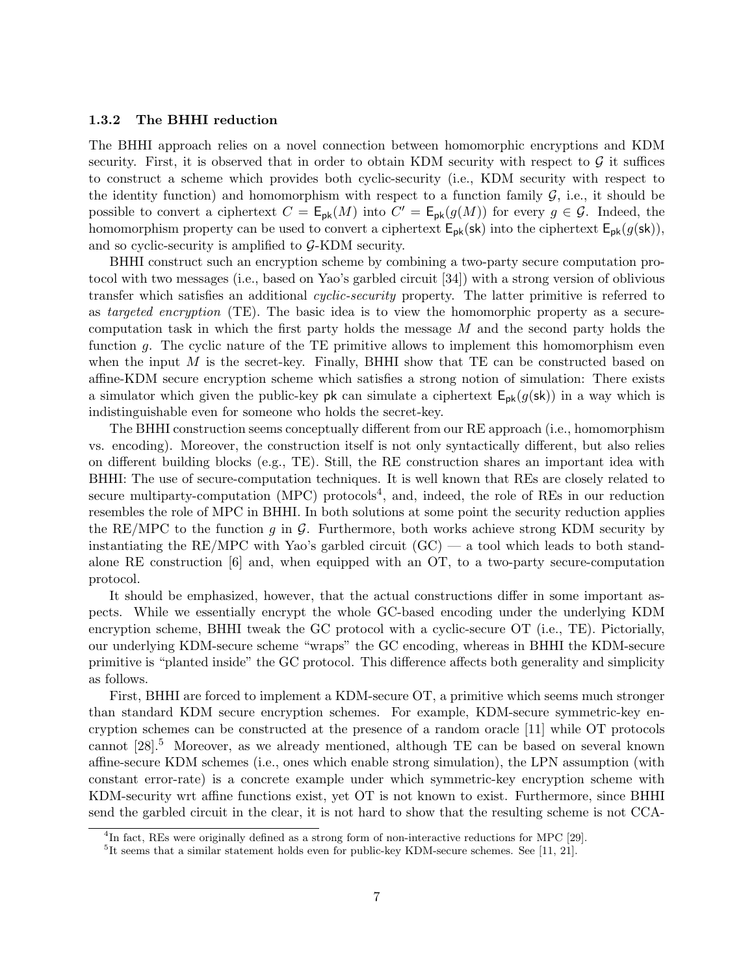### **1.3.2 The BHHI reduction**

The BHHI approach relies on a novel connection between homomorphic encryptions and KDM security. First, it is observed that in order to obtain KDM security with respect to  $\mathcal G$  it suffices to construct a scheme which provides both cyclic-security (i.e., KDM security with respect to the identity function) and homomorphism with respect to a function family  $G$ , i.e., it should be possible to convert a ciphertext  $C = \mathsf{E}_{\mathsf{pk}}(M)$  into  $C' = \mathsf{E}_{\mathsf{pk}}(g(M))$  for every  $g \in \mathcal{G}$ . Indeed, the homomorphism property can be used to convert a ciphertext  $E_{pk}(sk)$  into the ciphertext  $E_{pk}(g(sk))$ , and so cyclic-security is amplified to *G*-KDM security.

BHHI construct such an encryption scheme by combining a two-party secure computation protocol with two messages (i.e., based on Yao's garbled circuit [34]) with a strong version of oblivious transfer which satisfies an additional *cyclic-security* property. The latter primitive is referred to as *targeted encryption* (TE). The basic idea is to view the homomorphic property as a securecomputation task in which the first party holds the message *M* and the second party holds the function g. The cyclic nature of the TE primitive allows to implement this homomorphism even when the input *M* is the secret-key. Finally, BHHI show that TE can be constructed based on affine-KDM secure encryption scheme which satisfies a strong notion of simulation: There exists a simulator which given the public-key pk can simulate a ciphertext  $E_{pk}(g({\rm sk}))$  in a way which is indistinguishable even for someone who holds the secret-key.

The BHHI construction seems conceptually different from our RE approach (i.e., homomorphism vs. encoding). Moreover, the construction itself is not only syntactically different, but also relies on different building blocks (e.g., TE). Still, the RE construction shares an important idea with BHHI: The use of secure-computation techniques. It is well known that REs are closely related to secure multiparty-computation (MPC) protocols<sup>4</sup>, and, indeed, the role of REs in our reduction resembles the role of MPC in BHHI. In both solutions at some point the security reduction applies the RE/MPC to the function  $q$  in  $\mathcal{G}$ . Furthermore, both works achieve strong KDM security by instantiating the RE/MPC with Yao's garbled circuit  $(GC)$  — a tool which leads to both standalone RE construction [6] and, when equipped with an OT, to a two-party secure-computation protocol.

It should be emphasized, however, that the actual constructions differ in some important aspects. While we essentially encrypt the whole GC-based encoding under the underlying KDM encryption scheme, BHHI tweak the GC protocol with a cyclic-secure OT (i.e., TE). Pictorially, our underlying KDM-secure scheme "wraps" the GC encoding, whereas in BHHI the KDM-secure primitive is "planted inside" the GC protocol. This difference affects both generality and simplicity as follows.

First, BHHI are forced to implement a KDM-secure OT, a primitive which seems much stronger than standard KDM secure encryption schemes. For example, KDM-secure symmetric-key encryption schemes can be constructed at the presence of a random oracle [11] while OT protocols cannot [28].<sup>5</sup> Moreover, as we already mentioned, although TE can be based on several known affine-secure KDM schemes (i.e., ones which enable strong simulation), the LPN assumption (with constant error-rate) is a concrete example under which symmetric-key encryption scheme with KDM-security wrt affine functions exist, yet OT is not known to exist. Furthermore, since BHHI send the garbled circuit in the clear, it is not hard to show that the resulting scheme is not CCA-

<sup>4</sup> In fact, REs were originally defined as a strong form of non-interactive reductions for MPC [29].

 ${}^{5}$ It seems that a similar statement holds even for public-key KDM-secure schemes. See [11, 21].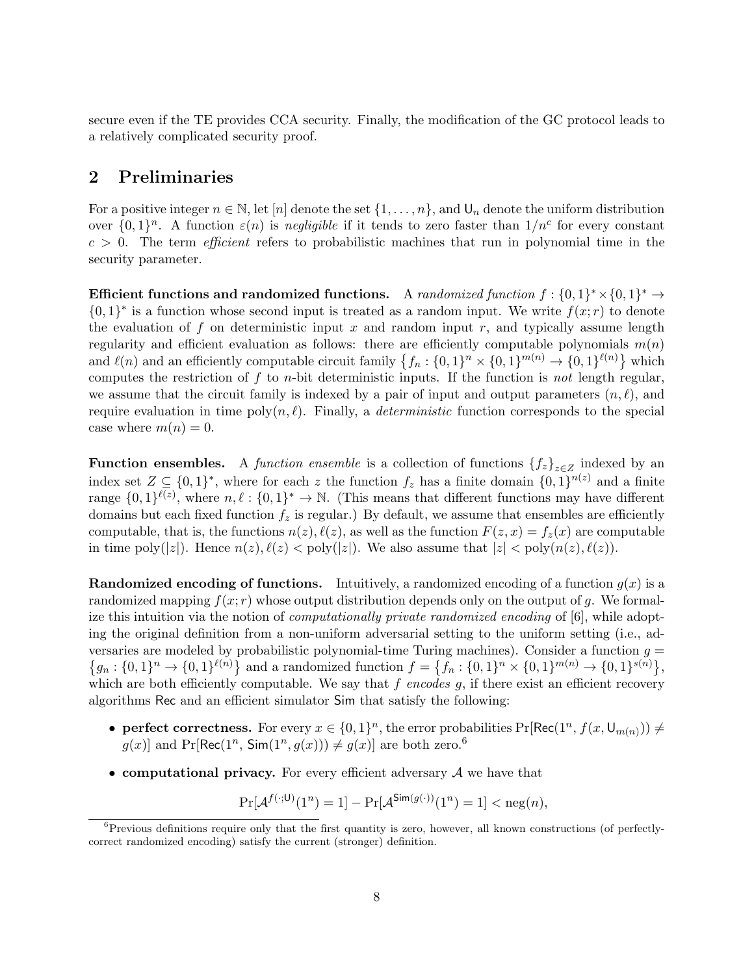secure even if the TE provides CCA security. Finally, the modification of the GC protocol leads to a relatively complicated security proof.

# **2 Preliminaries**

For a positive integer  $n \in \mathbb{N}$ , let  $[n]$  denote the set  $\{1, \ldots, n\}$ , and  $\mathsf{U}_n$  denote the uniform distribution over  $\{0,1\}$ <sup>n</sup>. A function  $\varepsilon(n)$  is *negligible* if it tends to zero faster than  $1/n<sup>c</sup>$  for every constant *c >* 0. The term *efficient* refers to probabilistic machines that run in polynomial time in the security parameter.

**Efficient functions and randomized functions.** A *randomized function*  $f: \{0,1\}^* \times \{0,1\}^* \to$  $\{0,1\}^*$  is a function whose second input is treated as a random input. We write  $f(x; r)$  to denote the evaluation of *f* on deterministic input *x* and random input *r*, and typically assume length regularity and efficient evaluation as follows: there are efficiently computable polynomials  $m(n)$ and  $\ell(n)$  and an efficiently computable circuit family  $\{f_n:\{0,1\}^n\times\{0,1\}^{m(n)}\to\{0,1\}^{\ell(n)}\}$  which computes the restriction of *f* to *n*-bit deterministic inputs. If the function is *not* length regular, we assume that the circuit family is indexed by a pair of input and output parameters  $(n, \ell)$ , and require evaluation in time  $\text{poly}(n, \ell)$ . Finally, a *deterministic* function corresponds to the special case where  $m(n) = 0$ .

**Function ensembles.** A *function ensemble* is a collection of functions  ${f_z}_{z \in Z}$  indexed by an index set  $Z \subseteq \{0,1\}^*$ , where for each *z* the function  $f_z$  has a finite domain  $\{0,1\}^{n(z)}$  and a finite range  $\{0,1\}^{\ell(z)}$ , where  $n, \ell : \{0,1\}^* \to \mathbb{N}$ . (This means that different functions may have different domains but each fixed function  $f_z$  is regular.) By default, we assume that ensembles are efficiently computable, that is, the functions  $n(z)$ ,  $\ell(z)$ , as well as the function  $F(z, x) = f_z(x)$  are computable in time poly(|z|). Hence  $n(z)$ ,  $\ell(z) < \text{poly}(|z|)$ . We also assume that  $|z| < \text{poly}(n(z), \ell(z))$ .

**Randomized encoding of functions.** Intuitively, a randomized encoding of a function  $q(x)$  is a randomized mapping  $f(x; r)$  whose output distribution depends only on the output of  $g$ . We formalize this intuition via the notion of *computationally private randomized encoding* of [6], while adopting the original definition from a non-uniform adversarial setting to the uniform setting (i.e., adversaries are modeled by probabilistic polynomial-time Turing machines). Consider a function  $g =$  $\{g_n: \{0,1\}^n \to \{0,1\}^{\ell(n)}\}$  and a randomized function  $f = \{f_n: \{0,1\}^n \times \{0,1\}^{m(n)} \to \{0,1\}^{s(n)}\},$ which are both efficiently computable. We say that *f* encodes *g*, if there exist an efficient recovery algorithms Rec and an efficient simulator Sim that satisfy the following:

- **perfect correctness.** For every  $x \in \{0,1\}^n$ , the error probabilities  $Pr[Rec(1^n, f(x, \mathsf{U}_{m(n)})) \neq$  $g(x)$ ] and Pr[Rec(1<sup>n</sup>, Sim(1<sup>n</sup>,  $g(x)$ ))  $\neq g(x)$ ] are both zero.<sup>6</sup>
- *•* **computational privacy.** For every efficient adversary *A* we have that

 $Pr[\mathcal{A}^{f(\cdot;\mathsf{U})}(1^n) = 1] - Pr[\mathcal{A}^{\mathsf{Sim}(g(\cdot))}(1^n) = 1] < neg(n),$ 

 ${}^{6}$ Previous definitions require only that the first quantity is zero, however, all known constructions (of perfectlycorrect randomized encoding) satisfy the current (stronger) definition.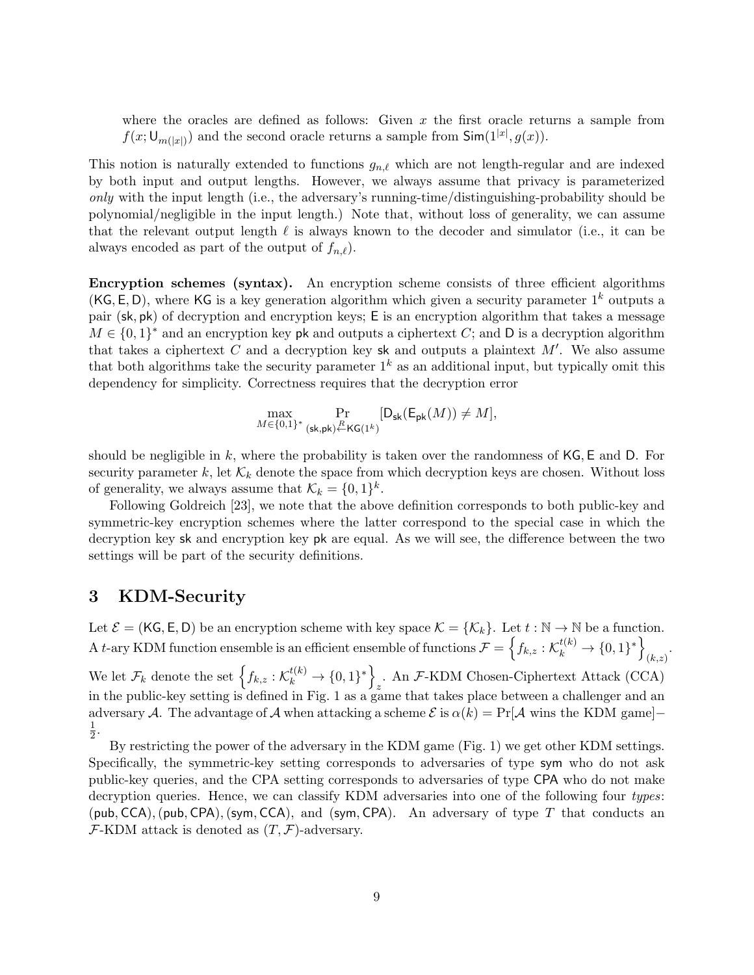where the oracles are defined as follows: Given *x* the first oracle returns a sample from  $f(x; \mathsf{U}_{m(|x|)})$  and the second oracle returns a sample from  $\mathsf{Sim}(1^{|x|}, g(x))$ .

This notion is naturally extended to functions *gn,ℓ* which are not length-regular and are indexed by both input and output lengths. However, we always assume that privacy is parameterized *only* with the input length (i.e., the adversary's running-time/distinguishing-probability should be polynomial/negligible in the input length.) Note that, without loss of generality, we can assume that the relevant output length *ℓ* is always known to the decoder and simulator (i.e., it can be always encoded as part of the output of  $f_{n,\ell}$ ).

**Encryption schemes (syntax).** An encryption scheme consists of three efficient algorithms  $(KG, E, D)$ , where KG is a key generation algorithm which given a security parameter  $1<sup>k</sup>$  outputs a pair (sk*,* pk) of decryption and encryption keys; E is an encryption algorithm that takes a message  $M \in \{0,1\}^*$  and an encryption key pk and outputs a ciphertext *C*; and D is a decryption algorithm that takes a ciphertext *C* and a decryption key sk and outputs a plaintext *M′* . We also assume that both algorithms take the security parameter  $1^k$  as an additional input, but typically omit this dependency for simplicity. Correctness requires that the decryption error

$$
\max_{M\in\{0,1\}^*}\Pr_{\substack{(\mathsf{sk},\mathsf{pk})\overset{R}\leftarrow{\mathsf{KG}}(1^k)}}[\mathsf{D}_{\mathsf{sk}}(\mathsf{E}_{\mathsf{pk}}(M))\neq M],
$$

should be negligible in *k*, where the probability is taken over the randomness of KG*,* E and D. For security parameter  $k$ , let  $\mathcal{K}_k$  denote the space from which decryption keys are chosen. Without loss of generality, we always assume that  $\mathcal{K}_k = \{0, 1\}^k$ .

Following Goldreich [23], we note that the above definition corresponds to both public-key and symmetric-key encryption schemes where the latter correspond to the special case in which the decryption key sk and encryption key pk are equal. As we will see, the difference between the two settings will be part of the security definitions.

## **3 KDM-Security**

Let  $\mathcal{E} = (\mathsf{KG}, \mathsf{E}, \mathsf{D})$  be an encryption scheme with key space  $\mathcal{K} = \{\mathcal{K}_k\}$ . Let  $t : \mathbb{N} \to \mathbb{N}$  be a function. A *t*-ary KDM function ensemble is an efficient ensemble of functions  $\mathcal{F} = \left\{ f_{k,z} : \mathcal{K}_k^{t(k)} \to \{0,1\}^* \right\}$  $(k,z)$ <sup>.</sup> We let  $\mathcal{F}_k$  denote the set  $\left\{ f_{k,z}: \mathcal{K}_k^{t(k)} \to \{0,1\}^* \right\}$ *z* . An *F*-KDM Chosen-Ciphertext Attack (CCA) in the public-key setting is defined in Fig. 1 as a game that takes place between a challenger and an adversary *A*. The advantage of *A* when attacking a scheme  $\mathcal{E}$  is  $\alpha(k) = \Pr[\mathcal{A}]$  wins the KDM game]– 1  $\frac{1}{2}$ .

By restricting the power of the adversary in the KDM game (Fig. 1) we get other KDM settings. Specifically, the symmetric-key setting corresponds to adversaries of type sym who do not ask public-key queries, and the CPA setting corresponds to adversaries of type CPA who do not make decryption queries. Hence, we can classify KDM adversaries into one of the following four *types*: (pub*,* CCA)*,*(pub*,* CPA)*,*(sym*,* CCA)*,* and (sym*,* CPA). An adversary of type *T* that conducts an *F*-KDM attack is denoted as  $(T, \mathcal{F})$ -adversary.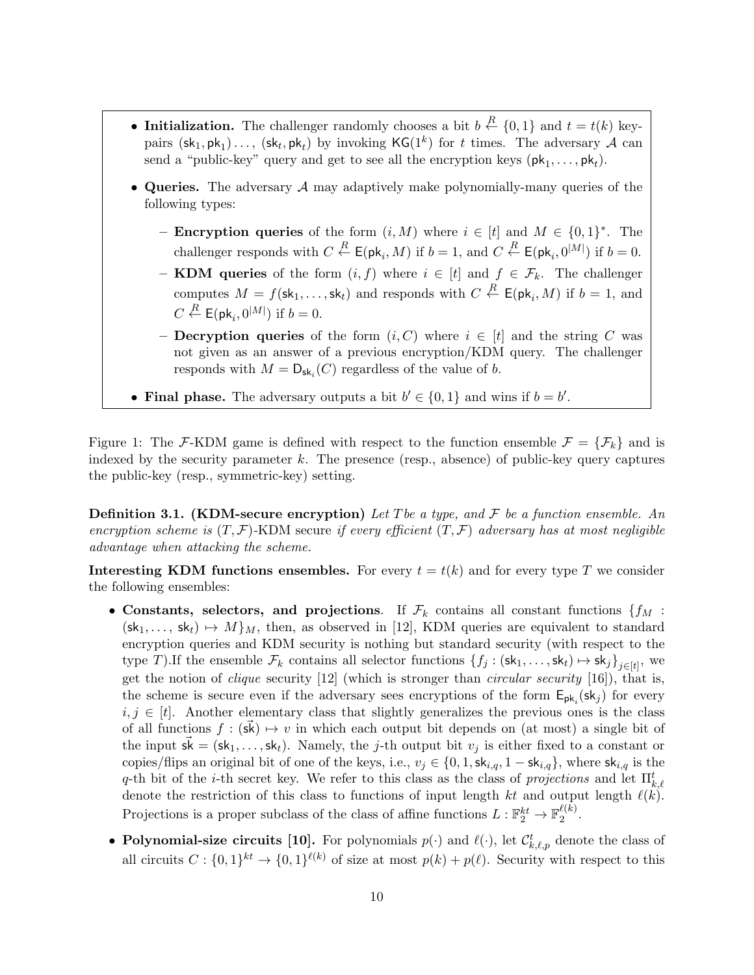- **Initialization.** The challenger randomly chooses a bit  $b \stackrel{R}{\leftarrow} \{0,1\}$  and  $t = t(k)$  keypairs  $(\mathsf{sk}_1, \mathsf{pk}_1) \ldots$ ,  $(\mathsf{sk}_t, \mathsf{pk}_t)$  by invoking  $\mathsf{KG}(1^k)$  for *t* times. The adversary *A* can send a "public-key" query and get to see all the encryption keys  $(\mathsf{pk}_1, \ldots, \mathsf{pk}_t)$ .
- *•* **Queries.** The adversary *A* may adaptively make polynomially-many queries of the following types:
	- **Encryption queries** of the form  $(i, M)$  where  $i \in [t]$  and  $M \in \{0, 1\}^*$ . The challenger responds with  $C \stackrel{R}{\leftarrow} \mathsf{E}(\mathsf{pk}_i, M)$  if  $b = 1$ , and  $C \stackrel{R}{\leftarrow} \mathsf{E}(\mathsf{pk}_i, 0^{|M|})$  if  $b = 0$ .
	- **− KDM queries** of the form  $(i, f)$  where  $i \in [t]$  and  $f \in \mathcal{F}_k$ . The challenger computes  $M = f(\mathsf{sk}_1, \ldots, \mathsf{sk}_t)$  and responds with  $C \stackrel{R}{\leftarrow} \mathsf{E}(\mathsf{pk}_i, M)$  if  $b = 1$ , and  $C \stackrel{R}{\leftarrow} \mathsf{E}(\mathsf{pk}_i, 0^{|M|})$  if  $b = 0$ .
	- **Decryption queries** of the form (*i, C*) where *i ∈* [*t*] and the string *C* was not given as an answer of a previous encryption/KDM query. The challenger responds with  $M = D_{\mathsf{sk}_i}(C)$  regardless of the value of *b*.
- **Final phase.** The adversary outputs a bit  $b' \in \{0, 1\}$  and wins if  $b = b'$ .

Figure 1: The *F*-KDM game is defined with respect to the function ensemble  $\mathcal{F} = {\mathcal{F}_k}$  and is indexed by the security parameter *k*. The presence (resp., absence) of public-key query captures the public-key (resp., symmetric-key) setting.

**Definition 3.1. (KDM-secure encryption)** *Let Tbe a type, and F be a function ensemble. An encryption scheme is*  $(T, \mathcal{F})$ -KDM secure *if every efficient*  $(T, \mathcal{F})$  *adversary has at most negligible advantage when attacking the scheme.*

**Interesting KDM functions ensembles.** For every  $t = t(k)$  and for every type *T* we consider the following ensembles:

- **Constants, selectors, and projections**. If  $\mathcal{F}_k$  contains all constant functions  $\{f_M:$  $(\mathsf{sk}_1, \ldots, \mathsf{sk}_t) \mapsto M\}$ <sub>*M*</sub>, then, as observed in [12], KDM queries are equivalent to standard encryption queries and KDM security is nothing but standard security (with respect to the type *T*).If the ensemble  $\mathcal{F}_k$  contains all selector functions  $\{f_j : (\mathsf{sk}_1, \ldots, \mathsf{sk}_t) \mapsto \mathsf{sk}_j\}_{j \in [t]},$  we get the notion of *clique* security [12] (which is stronger than *circular security* [16]), that is, the scheme is secure even if the adversary sees encryptions of the form  $E_{pk_i}(sk_j)$  for every  $i, j \in [t]$ . Another elementary class that slightly generalizes the previous ones is the class of all functions  $f : (\mathsf{sk}) \mapsto v$  in which each output bit depends on (at most) a single bit of the input  $\mathsf{sk} = (\mathsf{sk}_1, \ldots, \mathsf{sk}_t)$ . Namely, the *j*-th output bit  $v_j$  is either fixed to a constant or copies/flips an original bit of one of the keys, i.e.,  $v_j \in \{0, 1, sk_{i,q}, 1 - sk_{i,q}\}$ , where  $sk_{i,q}$  is the *q*-th bit of the *i*-th secret key. We refer to this class as the class of *projections* and let Π*<sup>t</sup> k,ℓ* denote the restriction of this class to functions of input length *kt* and output length *ℓ*(*k*). Projections is a proper subclass of the class of affine functions  $L: \mathbb{F}_2^{kt} \to \mathbb{F}_2^{\ell(k)}$  $\frac{\ell(\kappa)}{2}$ .
- **Polynomial-size circuits [10].** For polynomials  $p(\cdot)$  and  $\ell(\cdot)$ , let  $\mathcal{C}^t_{k,\ell,p}$  denote the class of all circuits  $C: \{0,1\}^{kt} \to \{0,1\}^{\ell(k)}$  of size at most  $p(k) + p(\ell)$ . Security with respect to this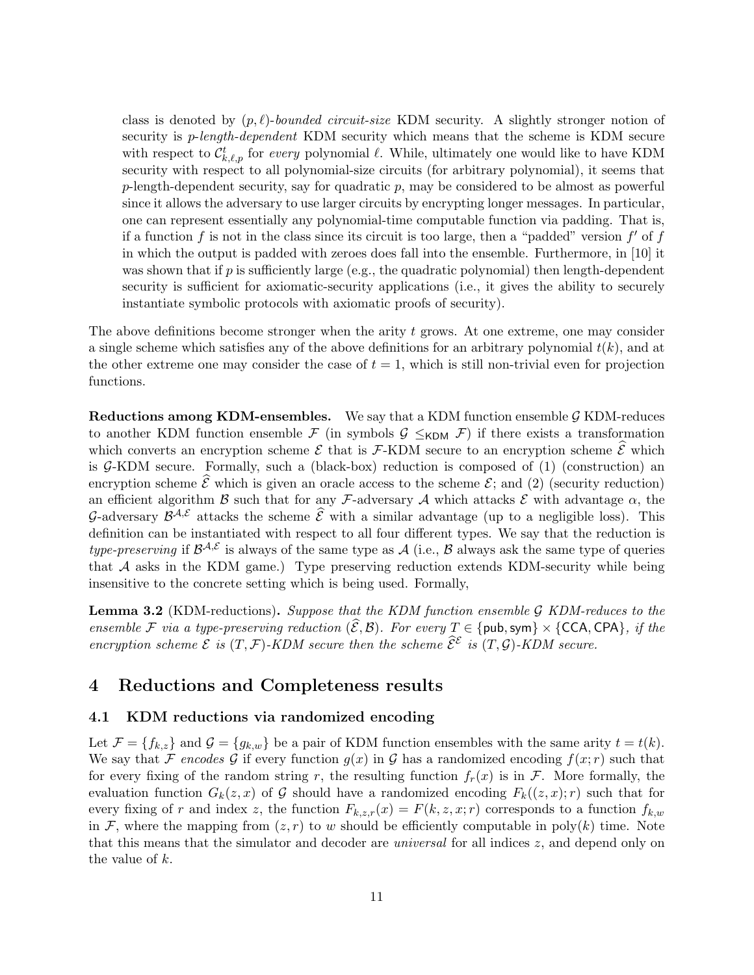class is denoted by (*p, ℓ*)-*bounded circuit-size* KDM security. A slightly stronger notion of security is *p*-*length-dependent* KDM security which means that the scheme is KDM secure with respect to  $\mathcal{C}^t_{k,\ell,p}$  for *every* polynomial  $\ell$ . While, ultimately one would like to have KDM security with respect to all polynomial-size circuits (for arbitrary polynomial), it seems that *p*-length-dependent security, say for quadratic *p*, may be considered to be almost as powerful since it allows the adversary to use larger circuits by encrypting longer messages. In particular, one can represent essentially any polynomial-time computable function via padding. That is, if a function  $f$  is not in the class since its circuit is too large, then a "padded" version  $f'$  of  $f$ in which the output is padded with zeroes does fall into the ensemble. Furthermore, in [10] it was shown that if p is sufficiently large (e.g., the quadratic polynomial) then length-dependent security is sufficient for axiomatic-security applications (i.e., it gives the ability to securely instantiate symbolic protocols with axiomatic proofs of security).

The above definitions become stronger when the arity *t* grows. At one extreme, one may consider a single scheme which satisfies any of the above definitions for an arbitrary polynomial *t*(*k*), and at the other extreme one may consider the case of  $t = 1$ , which is still non-trivial even for projection functions.

**Reductions among KDM-ensembles.** We say that a KDM function ensemble *G* KDM-reduces to another KDM function ensemble  $\mathcal F$  (in symbols  $\mathcal G \leq_{KDM} \mathcal F$ ) if there exists a transformation which converts an encryption scheme  $\mathcal E$  that is  $\mathcal F$ -KDM secure to an encryption scheme  $\widehat{\mathcal E}$  which is *G*-KDM secure. Formally, such a (black-box) reduction is composed of (1) (construction) an encryption scheme  $\mathcal{\hat{E}}$  which is given an oracle access to the scheme  $\mathcal{E}$ ; and (2) (security reduction) an efficient algorithm *B* such that for any *F*-adversary *A* which attacks  $\mathcal{E}$  with advantage  $\alpha$ , the G-adversary  $\mathcal{B}^{\mathcal{A},\mathcal{E}}$  attacks the scheme  $\hat{\mathcal{E}}$  with a similar advantage (up to a negligible loss). This definition can be instantiated with respect to all four different types. We say that the reduction is *type-preserving* if  $\mathcal{B}^{\mathcal{A},\mathcal{E}}$  is always of the same type as  $\mathcal{A}$  (i.e.,  $\mathcal{B}$  always ask the same type of queries that *A* asks in the KDM game.) Type preserving reduction extends KDM-security while being insensitive to the concrete setting which is being used. Formally,

**Lemma 3.2** (KDM-reductions)**.** *Suppose that the KDM function ensemble G KDM-reduces to the ensemble*  $\mathcal F$  *via a type-preserving reduction*  $(\widehat{\mathcal E}, \mathcal B)$ *. For every*  $T \in \{\text{pub}, \text{sym}\} \times \{\text{CCA}, \text{CPA}\}$ *, if the encryption scheme*  $\mathcal{E}$  *is*  $(T, \mathcal{F})$ *-KDM secure then the scheme*  $\hat{\mathcal{E}}^{\mathcal{E}}$  *is*  $(T, \mathcal{G})$ *-KDM secure.* 

# **4 Reductions and Completeness results**

### **4.1 KDM reductions via randomized encoding**

Let  $\mathcal{F} = \{f_{k,z}\}\$ and  $\mathcal{G} = \{g_{k,w}\}\$ be a pair of KDM function ensembles with the same arity  $t = t(k)$ . We say that *F* encodes G if every function  $g(x)$  in G has a randomized encoding  $f(x; r)$  such that for every fixing of the random string r, the resulting function  $f_r(x)$  is in F. More formally, the evaluation function  $G_k(z, x)$  of  $\mathcal G$  should have a randomized encoding  $F_k((z, x); r)$  such that for every fixing of *r* and index *z*, the function  $F_{k,z,r}(x) = F(k, z, x; r)$  corresponds to a function  $f_{k,w}$ in  $\mathcal{F}$ , where the mapping from  $(z, r)$  to *w* should be efficiently computable in poly(*k*) time. Note that this means that the simulator and decoder are *universal* for all indices *z*, and depend only on the value of *k*.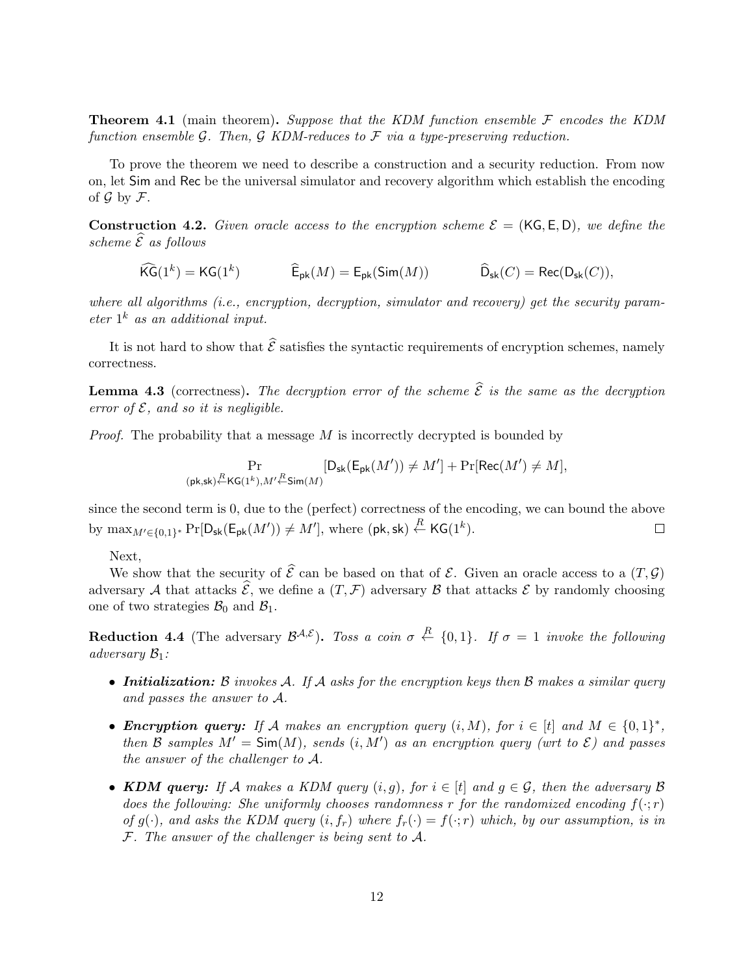**Theorem 4.1** (main theorem)**.** *Suppose that the KDM function ensemble F encodes the KDM function ensemble G. Then, G KDM-reduces to F via a type-preserving reduction.*

To prove the theorem we need to describe a construction and a security reduction. From now on, let Sim and Rec be the universal simulator and recovery algorithm which establish the encoding of  $\mathcal G$  by  $\mathcal F$ .

**Construction 4.2.** *Given oracle access to the encryption scheme*  $\mathcal{E} = (KG, E, D)$ *, we define the scheme*  $\mathcal{E}$  *as follows* 

$$
\widehat{\mathsf{KG}}(1^k) = \mathsf{KG}(1^k) \qquad \qquad \widehat{\mathsf{E}}_{\mathsf{pk}}(M) = \mathsf{E}_{\mathsf{pk}}(\mathsf{Sim}(M)) \qquad \qquad \widehat{\mathsf{D}}_{\mathsf{sk}}(C) = \mathsf{Rec}(\mathsf{D}_{\mathsf{sk}}(C)),
$$

*where all algorithms (i.e., encryption, decryption, simulator and recovery) get the security parameter* 1 *<sup>k</sup> as an additional input.*

It is not hard to show that  $\hat{\mathcal{E}}$  satisfies the syntactic requirements of encryption schemes, namely correctness.

**Lemma 4.3** (correctness). The decryption error of the scheme  $\hat{\mathcal{E}}$  is the same as the decryption *error of*  $\mathcal{E}$ *, and so it is negligible.* 

*Proof.* The probability that a message *M* is incorrectly decrypted is bounded by

$$
\Pr_{(\mathsf{pk},\mathsf{sk}) \overset{R}\leftarrow \mathsf{KG}(1^k), M' \overset{R}\leftarrow \mathsf{Sim}(M)}[\mathsf{D}_{\mathsf{sk}}(\mathsf{E}_{\mathsf{pk}}(M')) \neq M'] + \Pr[\mathsf{Rec}(M') \neq M],
$$

since the second term is 0, due to the (perfect) correctness of the encoding, we can bound the above by  $\max_{M' \in \{0,1\}^*} \Pr[D_{\text{sk}}(E_{\text{pk}}(M')) \neq M']$ , where  $(\text{pk}, \text{sk}) \stackrel{R}{\leftarrow} \text{KG}(1^k)$ .  $\Box$ 

Next,

We show that the security of  $\hat{\mathcal{E}}$  can be based on that of  $\mathcal{E}$ . Given an oracle access to a  $(T, \mathcal{G})$ adversary *A* that attacks  $\widehat{\mathcal{E}}$ , we define a  $(T, \mathcal{F})$  adversary *B* that attacks  $\mathcal{E}$  by randomly choosing one of two strategies  $\mathcal{B}_0$  and  $\mathcal{B}_1$ .

**Reduction 4.4** (The adversary  $\mathcal{B}^{A,\mathcal{E}}$ ). Toss a coin  $\sigma \leftarrow \{0,1\}$ . If  $\sigma = 1$  invoke the following *adversary B*1*:*

- *• Initialization: B invokes A. If A asks for the encryption keys then B makes a similar query and passes the answer to A.*
- *Encryption query: If A* makes an encryption query  $(i, M)$ , for  $i \in [t]$  and  $M \in \{0, 1\}^*$ , *then*  $\mathcal{B}$  *samples*  $M' = \textsf{Sim}(M)$ *, sends*  $(i, M')$  *as an encryption query (wrt to*  $\mathcal{E}$ *) and passes the answer of the challenger to A.*
- *KDM query:* If A makes a KDM query  $(i, g)$ , for  $i \in [t]$  and  $g \in \mathcal{G}$ , then the adversary  $\mathcal{B}$ *does the following: She uniformly chooses randomness r for the randomized encoding*  $f(\cdot;r)$ *of*  $g(\cdot)$ , and asks the KDM query  $(i, f_r)$  where  $f_r(\cdot) = f(\cdot; r)$  which, by our assumption, is in *F. The answer of the challenger is being sent to A.*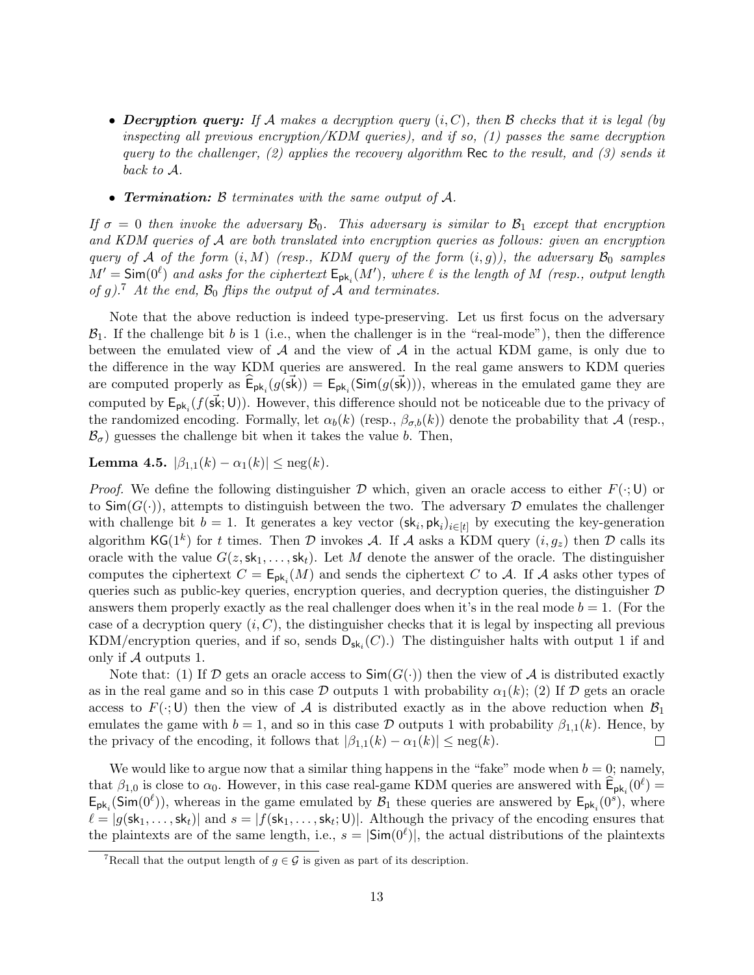- *• Decryption query: If A makes a decryption query* (*i, C*)*, then B checks that it is legal (by inspecting all previous encryption/KDM queries), and if so, (1) passes the same decryption query to the challenger, (2) applies the recovery algorithm* Rec *to the result, and (3) sends it back to A.*
- *• Termination: B terminates with the same output of A.*

*If*  $\sigma = 0$  *then invoke the adversary*  $B_0$ *. This adversary is similar to*  $B_1$  *except that encryption and KDM queries of A are both translated into encryption queries as follows: given an encryption query of A of the form*  $(i, M)$  *(resp., KDM query of the form*  $(i, g)$ *), the adversary*  $\mathcal{B}_0$  *samples*  $M' = \textsf{Sim}(0^{\ell})$  and asks for the ciphertext  $\mathsf{E}_{\mathsf{pk}_i}(M')$ , where  $\ell$  is the length of  $M$  (resp., output length *of*  $g$ ).<sup>7</sup> *At the end,*  $B_0$  *flips the output of A and terminates.* 

Note that the above reduction is indeed type-preserving. Let us first focus on the adversary  $B_1$ . If the challenge bit *b* is 1 (i.e., when the challenger is in the "real-mode"), then the difference between the emulated view of  $A$  and the view of  $A$  in the actual KDM game, is only due to the difference in the way KDM queries are answered. In the real game answers to KDM queries are computed properly as  $\widehat{\mathsf{E}}_{\mathsf{pk}_i}(g(\vec{\mathsf{sk}})) = \mathsf{E}_{\mathsf{pk}_i}(\mathsf{Sim}(g(\vec{\mathsf{sk}})))$ , whereas in the emulated game they are computed by  $\mathsf{E}_{\mathsf{pk}_i}(f(\vec{\mathsf{sk}};\mathsf{U}))$ . However, this difference should not be noticeable due to the privacy of the randomized encoding. Formally, let  $\alpha_b(k)$  (resp.,  $\beta_{\sigma,b}(k)$ ) denote the probability that *A* (resp.,  $\mathcal{B}_{\sigma}$ ) guesses the challenge bit when it takes the value *b*. Then,

**Lemma 4.5.**  $|\beta_{1,1}(k) - \alpha_1(k)| \leq \text{neg}(k)$ .

*Proof.* We define the following distinguisher *D* which, given an oracle access to either  $F(\cdot;U)$  or to  $\textsf{Sim}(G(\cdot))$ , attempts to distinguish between the two. The adversary  $\mathcal D$  emulates the challenger with challenge bit  $b = 1$ . It generates a key vector  $(\mathsf{sk}_i, \mathsf{pk}_i)_{i \in [t]}$  by executing the key-generation algorithm  $\mathsf{KG}(1^k)$  for *t* times. Then  $\mathcal D$  invokes  $\mathcal A$ . If  $\mathcal A$  asks a KDM query  $(i, g_z)$  then  $\mathcal D$  calls its oracle with the value  $G(z, sk_1, \ldots, sk_t)$ . Let M denote the answer of the oracle. The distinguisher computes the ciphertext  $C = \mathsf{E}_{\mathsf{pk}_i}(M)$  and sends the ciphertext *C* to *A*. If *A* asks other types of queries such as public-key queries, encryption queries, and decryption queries, the distinguisher *D* answers them properly exactly as the real challenger does when it's in the real mode  $b = 1$ . (For the case of a decryption query  $(i, C)$ , the distinguisher checks that it is legal by inspecting all previous KDM/encryption queries, and if so, sends  $D_{sk_i}(C)$ .) The distinguisher halts with output 1 if and only if *A* outputs 1.

Note that: (1) If  $\mathcal D$  gets an oracle access to  $\text{Sim}(G(\cdot))$  then the view of  $\mathcal A$  is distributed exactly as in the real game and so in this case  $\mathcal D$  outputs 1 with probability  $\alpha_1(k)$ ; (2) If  $\mathcal D$  gets an oracle access to  $F(\cdot;U)$  then the view of *A* is distributed exactly as in the above reduction when  $B_1$ emulates the game with  $b = 1$ , and so in this case  $D$  outputs 1 with probability  $\beta_{1,1}(k)$ . Hence, by the privacy of the encoding, it follows that  $|\beta_{1,1}(k) - \alpha_1(k)| \leq \text{neg}(k)$ .  $\Box$ 

We would like to argue now that a similar thing happens in the "fake" mode when  $b = 0$ ; namely, that  $\beta_{1,0}$  is close to  $\alpha_0$ . However, in this case real-game KDM queries are answered with  $\hat{\mathsf{E}}_{\mathsf{pk}_i}(0^{\ell}) =$  $\mathsf{E}_{\mathsf{pk}_i}(\mathsf{Sim}(0^{\ell}))$ , whereas in the game emulated by  $\mathcal{B}_1$  these queries are answered by  $\mathsf{E}_{\mathsf{pk}_i}(0^s)$ , where  $\ell = |g(\mathsf{sk}_1, \ldots, \mathsf{sk}_t)|$  and  $s = |f(\mathsf{sk}_1, \ldots, \mathsf{sk}_t; \mathsf{U})|$ . Although the privacy of the encoding ensures that the plaintexts are of the same length, i.e.,  $s = |\textsf{Sim}(0^{\ell})|$ , the actual distributions of the plaintexts

<sup>&</sup>lt;sup>7</sup>Recall that the output length of  $g \in \mathcal{G}$  is given as part of its description.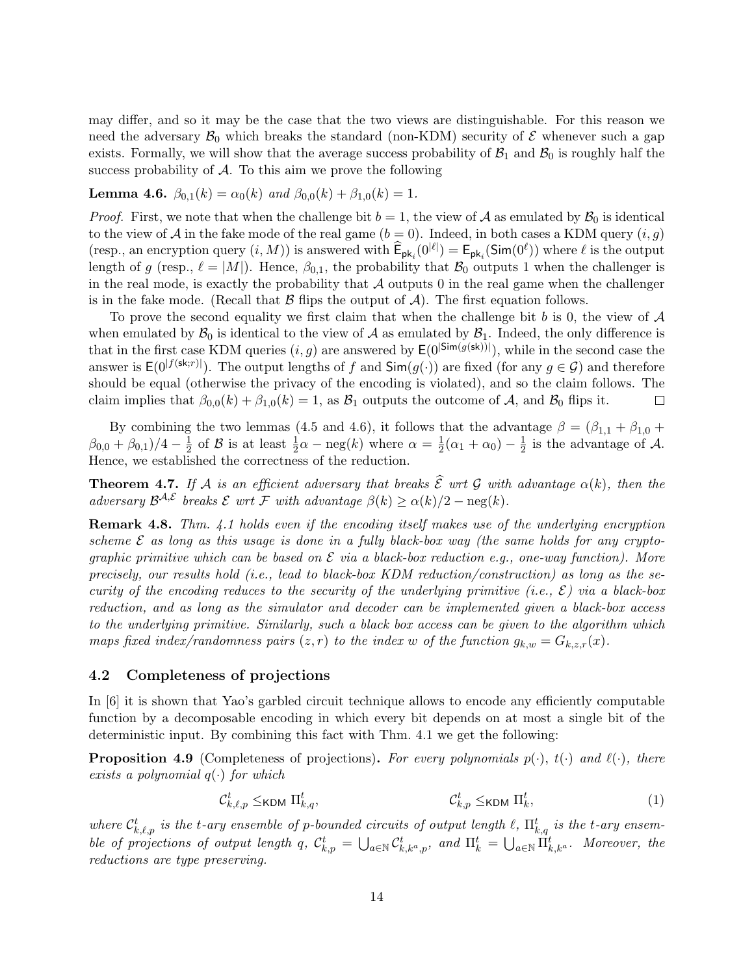may differ, and so it may be the case that the two views are distinguishable. For this reason we need the adversary  $\mathcal{B}_0$  which breaks the standard (non-KDM) security of  $\mathcal E$  whenever such a gap exists. Formally, we will show that the average success probability of  $B_1$  and  $B_0$  is roughly half the success probability of *A*. To this aim we prove the following

### **Lemma 4.6.**  $\beta_{0,1}(k) = \alpha_0(k)$  and  $\beta_{0,0}(k) + \beta_{1,0}(k) = 1$ .

*Proof.* First, we note that when the challenge bit  $b = 1$ , the view of *A* as emulated by  $B_0$  is identical to the view of *A* in the fake mode of the real game  $(b = 0)$ . Indeed, in both cases a KDM query  $(i, g)$ (resp., an encryption query  $(i, M)$ ) is answered with  $\widehat{\mathsf{E}}_{\mathsf{pk}_i}(0^{|\ell|}) = \mathsf{E}_{\mathsf{pk}_i}(\mathsf{Sim}(0^{\ell}))$  where  $\ell$  is the output length of *g* (resp.,  $\ell = |M|$ ). Hence,  $\beta_{0,1}$ , the probability that  $\mathcal{B}_0$  outputs 1 when the challenger is in the real mode, is exactly the probability that  $A$  outputs 0 in the real game when the challenger is in the fake mode. (Recall that  $\beta$  flips the output of  $\mathcal{A}$ ). The first equation follows.

To prove the second equality we first claim that when the challenge bit *b* is 0, the view of *A* when emulated by  $\mathcal{B}_0$  is identical to the view of *A* as emulated by  $\mathcal{B}_1$ . Indeed, the only difference is that in the first case KDM queries  $(i, g)$  are answered by  $E(0^{|Sim(g(\mathsf{sk}))|})$ , while in the second case the answer is  $E(0^{|f(\mathsf{sk};r)|})$ . The output lengths of *f* and  $\mathsf{Sim}(g(\cdot))$  are fixed (for any  $g \in \mathcal{G}$ ) and therefore should be equal (otherwise the privacy of the encoding is violated), and so the claim follows. The claim implies that  $\beta_{0,0}(k) + \beta_{1,0}(k) = 1$ , as  $\mathcal{B}_1$  outputs the outcome of *A*, and  $\mathcal{B}_0$  flips it.  $\Box$ 

By combining the two lemmas (4.5 and 4.6), it follows that the advantage  $\beta = (\beta_{1,1} + \beta_{1,0} + \beta_{1,0})$  $\beta_{0,0} + \beta_{0,1})/4 - \frac{1}{2}$  $\frac{1}{2}$  of *B* is at least  $\frac{1}{2}\alpha - \text{neg}(k)$  where  $\alpha = \frac{1}{2}$  $\frac{1}{2}(\alpha_1 + \alpha_0) - \frac{1}{2}$  $\frac{1}{2}$  is the advantage of A. Hence, we established the correctness of the reduction.

**Theorem 4.7.** *If A is an efficient adversary that breaks*  $\hat{\mathcal{E}}$  *wrt*  $\mathcal{G}$  *with advantage*  $\alpha(k)$ *, then the adversary*  $\mathcal{B}^{\mathcal{A}, \mathcal{E}}$  *breaks*  $\mathcal{E}$  *wrt*  $\mathcal{F}$  *with advantage*  $\beta(k) \ge \alpha(k)/2 - \text{neg}(k)$ *.* 

**Remark 4.8.** *Thm. 4.1 holds even if the encoding itself makes use of the underlying encryption* scheme  $\mathcal E$  as long as this usage is done in a fully black-box way (the same holds for any crypto*graphic primitive which can be based on E via a black-box reduction e.g., one-way function). More precisely, our results hold (i.e., lead to black-box KDM reduction/construction) as long as the security of the encoding reduces to the security of the underlying primitive (i.e., E) via a black-box reduction, and as long as the simulator and decoder can be implemented given a black-box access to the underlying primitive. Similarly, such a black box access can be given to the algorithm which maps fixed index/randomness pairs*  $(z, r)$  *to the index w of the function*  $g_{k,w} = G_{k,z,r}(x)$ *.* 

#### **4.2 Completeness of projections**

In [6] it is shown that Yao's garbled circuit technique allows to encode any efficiently computable function by a decomposable encoding in which every bit depends on at most a single bit of the deterministic input. By combining this fact with Thm. 4.1 we get the following:

**Proposition 4.9** (Completeness of projections). For every polynomials  $p(\cdot)$ ,  $t(\cdot)$  and  $\ell(\cdot)$ , there *exists a polynomial q*(*·*) *for which*

$$
\mathcal{C}_{k,\ell,p}^t \leq_{\sf KDM} \Pi_{k,q}^t,\qquad \qquad \mathcal{C}_{k,p}^t \leq_{\sf KDM} \Pi_k^t,\tag{1}
$$

*where*  $C_{k,\ell,p}^t$  *is the t-ary ensemble of p-bounded circuits of output length*  $\ell$ ,  $\Pi_{k,q}^t$  *is the t-ary ensem*ble of projections of output length q,  $\mathcal{C}_{k,p}^t = \bigcup_{a \in \mathbb{N}} \mathcal{C}_{k,k^a,p}^t$ , and  $\Pi_k^t = \bigcup_{a \in \mathbb{N}} \Pi_{k,k^a}^t$ . Moreover, the *reductions are type preserving.*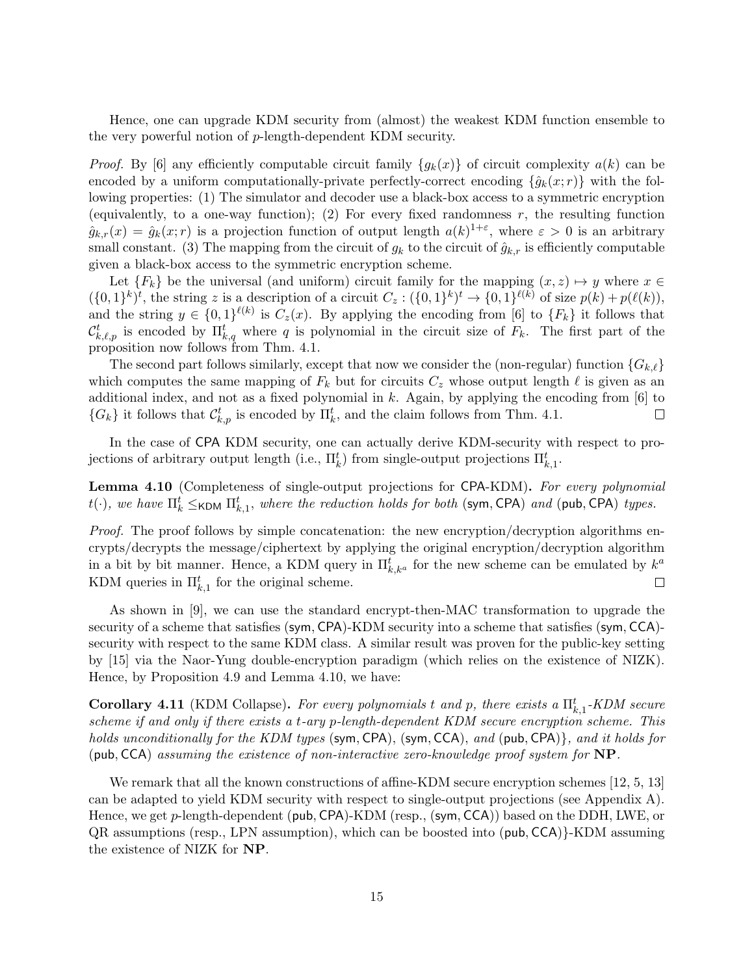Hence, one can upgrade KDM security from (almost) the weakest KDM function ensemble to the very powerful notion of *p*-length-dependent KDM security.

*Proof.* By [6] any efficiently computable circuit family  ${g_k(x)}$  of circuit complexity  $a(k)$  can be encoded by a uniform computationally-private perfectly-correct encoding  $\{\hat{g}_k(x; r)\}\$  with the following properties: (1) The simulator and decoder use a black-box access to a symmetric encryption (equivalently, to a one-way function); (2) For every fixed randomness  $r$ , the resulting function  $\hat{g}_{k,r}(x) = \hat{g}_k(x; r)$  is a projection function of output length  $a(k)^{1+\varepsilon}$ , where  $\varepsilon > 0$  is an arbitrary small constant. (3) The mapping from the circuit of  $g_k$  to the circuit of  $\hat{g}_{k,r}$  is efficiently computable given a black-box access to the symmetric encryption scheme.

Let  ${F_k}$  be the universal (and uniform) circuit family for the mapping  $(x, z) \mapsto y$  where  $x \in$  $(\{0,1\}^k)^t$ , the string z is a description of a circuit  $C_z: (\{0,1\}^k)^t \to \{0,1\}^{\ell(k)}$  of size  $p(k) + p(\ell(k)),$ and the string  $y \in \{0,1\}^{\ell(k)}$  is  $C_z(x)$ . By applying the encoding from [6] to  $\{F_k\}$  it follows that  $\mathcal{C}^t_{k,\ell,p}$  is encoded by  $\Pi^t_{k,q}$  where *q* is polynomial in the circuit size of  $F_k$ . The first part of the proposition now follows from Thm. 4.1.

The second part follows similarly, except that now we consider the (non-regular) function  ${G_{k,\ell}}$ which computes the same mapping of  $F_k$  but for circuits  $C_z$  whose output length  $\ell$  is given as an additional index, and not as a fixed polynomial in *k*. Again, by applying the encoding from [6] to  ${G_k}$  it follows that  $C_{k,p}^t$  is encoded by  $\Pi_k^t$ , and the claim follows from Thm. 4.1.  $\Box$ 

In the case of CPA KDM security, one can actually derive KDM-security with respect to projections of arbitrary output length (i.e.,  $\Pi_k^t$ ) from single-output projections  $\Pi_{k,1}^t$ .

**Lemma 4.10** (Completeness of single-output projections for CPA-KDM)**.** *For every polynomial t*(*·*)*, we have*  $\Pi_k^t \leq_{\text{KDM}} \Pi_{k,1}^t$ *, where the reduction holds for both* (sym, CPA) *and* (pub, CPA) *types.* 

*Proof.* The proof follows by simple concatenation: the new encryption/decryption algorithms encrypts/decrypts the message/ciphertext by applying the original encryption/decryption algorithm in a bit by bit manner. Hence, a KDM query in  $\Pi_{k,k^a}^t$  for the new scheme can be emulated by  $k^a$ KDM queries in  $\Pi_{k,1}^t$  for the original scheme.  $\Box$ 

As shown in [9], we can use the standard encrypt-then-MAC transformation to upgrade the security of a scheme that satisfies (sym*,* CPA)-KDM security into a scheme that satisfies (sym*,* CCA) security with respect to the same KDM class. A similar result was proven for the public-key setting by [15] via the Naor-Yung double-encryption paradigm (which relies on the existence of NIZK). Hence, by Proposition 4.9 and Lemma 4.10, we have:

**Corollary 4.11** (KDM Collapse). For every polynomials  $t$  and  $p$ , there exists a  $\Pi_{k,1}^t$ -KDM secure *scheme if and only if there exists a t-ary p-length-dependent KDM secure encryption scheme. This holds unconditionally for the KDM types* (sym*,* CPA)*,* (sym*,* CCA)*, and* (pub*,* CPA)*}, and it holds for* (pub*,* CCA) *assuming the existence of non-interactive zero-knowledge proof system for* **NP***.*

We remark that all the known constructions of affine-KDM secure encryption schemes [12, 5, 13] can be adapted to yield KDM security with respect to single-output projections (see Appendix A). Hence, we get *p*-length-dependent (pub*,* CPA)-KDM (resp., (sym*,* CCA)) based on the DDH, LWE, or QR assumptions (resp., LPN assumption), which can be boosted into (pub*,* CCA)*}*-KDM assuming the existence of NIZK for **NP**.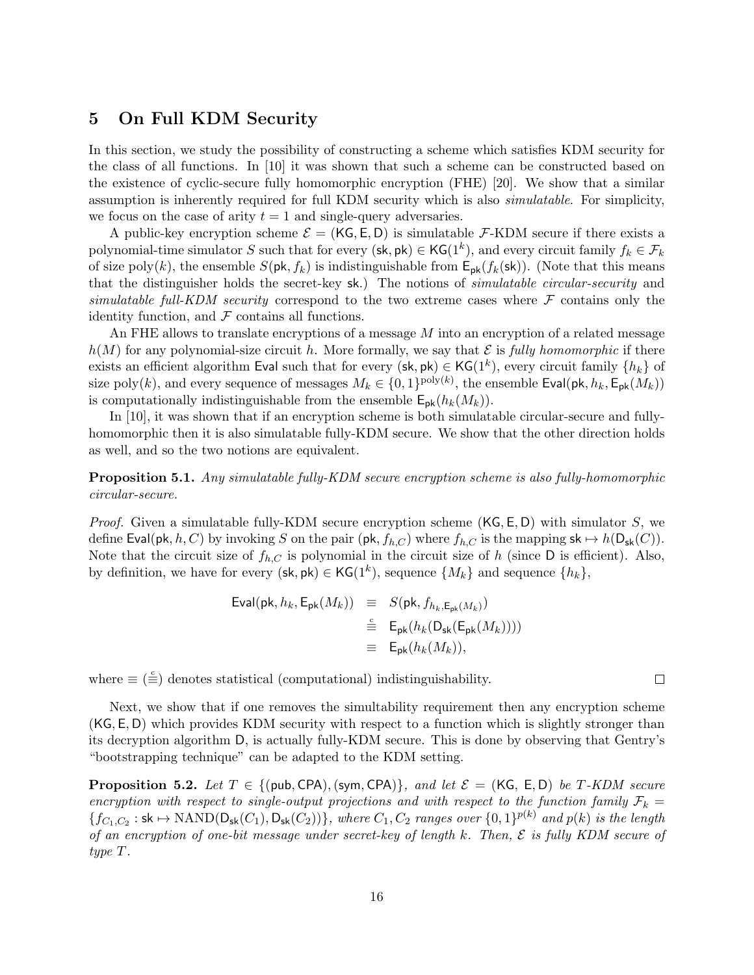# **5 On Full KDM Security**

In this section, we study the possibility of constructing a scheme which satisfies KDM security for the class of all functions. In [10] it was shown that such a scheme can be constructed based on the existence of cyclic-secure fully homomorphic encryption (FHE) [20]. We show that a similar assumption is inherently required for full KDM security which is also *simulatable*. For simplicity, we focus on the case of arity  $t = 1$  and single-query adversaries.

A public-key encryption scheme  $\mathcal{E} = (K\mathsf{G}, \mathsf{E}, \mathsf{D})$  is simulatable  $\mathcal{F}\text{-}\text{KDM}$  secure if there exists a  $p$ olynomial-time simulator  $S$  such that for every  $(\mathsf{sk}, \mathsf{pk}) \in \mathsf{KG}(1^k)$ , and every circuit family  $f_k \in \mathcal{F}_k$ of size poly(*k*), the ensemble  $S(\mathsf{pk}, f_k)$  is indistinguishable from  $\mathsf{E}_{\mathsf{pk}}(f_k(\mathsf{sk}))$ . (Note that this means that the distinguisher holds the secret-key sk.) The notions of *simulatable circular-security* and *simulatable full-KDM security* correspond to the two extreme cases where *F* contains only the identity function, and  $\mathcal F$  contains all functions.

An FHE allows to translate encryptions of a message *M* into an encryption of a related message  $h(M)$  for any polynomial-size circuit *h*. More formally, we say that  $\mathcal E$  is *fully homomorphic* if there exists an efficient algorithm Eval such that for every  $(\mathsf{sk}, \mathsf{pk}) \in \mathsf{KG}(1^k)$ , every circuit family  $\{h_k\}$  of size poly $(k)$ , and every sequence of messages  $M_k \in \{0,1\}^{\text{poly}(k)}$ , the ensemble Eval $(\text{pk}, h_k, \text{E}_{\text{pk}}(M_k))$ is computationally indistinguishable from the ensemble  $\mathsf{E}_{\mathsf{pk}}(h_k(M_k)).$ 

In [10], it was shown that if an encryption scheme is both simulatable circular-secure and fullyhomomorphic then it is also simulatable fully-KDM secure. We show that the other direction holds as well, and so the two notions are equivalent.

**Proposition 5.1.** *Any simulatable fully-KDM secure encryption scheme is also fully-homomorphic circular-secure.*

*Proof.* Given a simulatable fully-KDM secure encryption scheme (KG*,* E*,* D) with simulator *S*, we define Eval(pk, h, C) by invoking *S* on the pair (pk,  $f_{h,C}$ ) where  $f_{h,C}$  is the mapping  $sk \mapsto h(D_{sk}(C))$ . Note that the circuit size of  $f_{h,C}$  is polynomial in the circuit size of *h* (since D is efficient). Also, by definition, we have for every  $(\mathsf{sk}, \mathsf{pk}) \in \mathsf{KG}(1^k)$ , sequence  $\{M_k\}$  and sequence  $\{h_k\}$ ,

$$
\begin{array}{rcl}\n\text{Eval}(\text{pk}, h_k, \text{E}_{\text{pk}}(M_k)) & \equiv & S(\text{pk}, f_{h_k, \text{E}_{\text{pk}}(M_k)}) \\
&\stackrel{\text{c}}{=} & \text{E}_{\text{pk}}(h_k(\text{D}_{\text{sk}}(\text{E}_{\text{pk}}(M_k)))) \\
&\equiv & \text{E}_{\text{pk}}(h_k(M_k)),\n\end{array}
$$

where  $\equiv$  ( $\stackrel{c}{\equiv}$ ) denotes statistical (computational) indistinguishability.

Next, we show that if one removes the simultability requirement then any encryption scheme (KG*,* E*,* D) which provides KDM security with respect to a function which is slightly stronger than its decryption algorithm D, is actually fully-KDM secure. This is done by observing that Gentry's "bootstrapping technique" can be adapted to the KDM setting.

**Proposition 5.2.** *Let*  $T \in \{(\text{pub}, \text{CPA}), (\text{sym}, \text{CPA})\}$ *, and let*  $\mathcal{E} = (\text{KG}, \text{ E}, \text{ D})$  *be*  $T$ *-KDM secure encryption with respect to single-output projections and with respect to the function family*  $\mathcal{F}_k$  =  $\{f_{C_1,C_2}:\textsf{sk}\mapsto \text{NAND}(D_{\textsf{sk}}(C_1),D_{\textsf{sk}}(C_2))\},$  where  $C_1,C_2$  ranges over  $\{0,1\}^{p(k)}$  and  $p(k)$  is the length *of an encryption of one-bit message under secret-key of length k. Then, E is fully KDM secure of type T.*

 $\Box$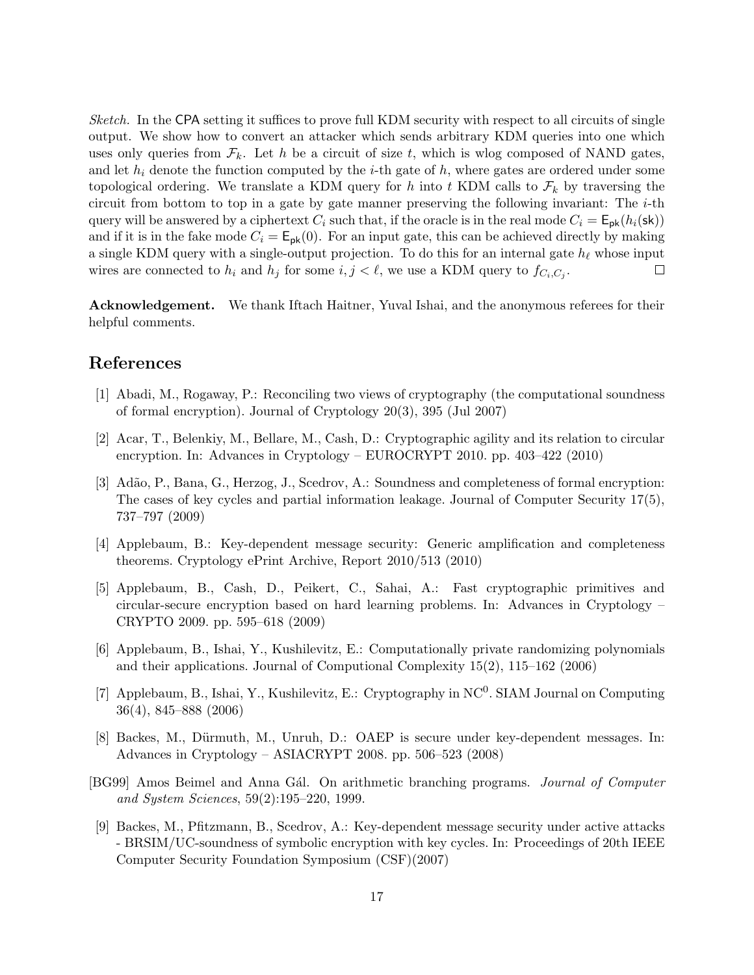*Sketch.* In the CPA setting it suffices to prove full KDM security with respect to all circuits of single output. We show how to convert an attacker which sends arbitrary KDM queries into one which uses only queries from  $\mathcal{F}_k$ . Let h be a circuit of size t, which is wlog composed of NAND gates, and let  $h_i$  denote the function computed by the *i*-th gate of  $h$ , where gates are ordered under some topological ordering. We translate a KDM query for *h* into *t* KDM calls to  $\mathcal{F}_k$  by traversing the circuit from bottom to top in a gate by gate manner preserving the following invariant: The *i*-th query will be answered by a ciphertext  $C_i$  such that, if the oracle is in the real mode  $C_i = \mathsf{E}_{\mathsf{pk}}(h_i(\mathsf{sk}))$ and if it is in the fake mode  $C_i = \mathsf{E}_{\mathsf{pk}}(0)$ . For an input gate, this can be achieved directly by making a single KDM query with a single-output projection. To do this for an internal gate *h<sup>ℓ</sup>* whose input wires are connected to  $h_i$  and  $h_j$  for some  $i, j < \ell$ , we use a KDM query to  $f_{C_i, C_j}$ .  $\Box$ 

**Acknowledgement.** We thank Iftach Haitner, Yuval Ishai, and the anonymous referees for their helpful comments.

# **References**

- [1] Abadi, M., Rogaway, P.: Reconciling two views of cryptography (the computational soundness of formal encryption). Journal of Cryptology 20(3), 395 (Jul 2007)
- [2] Acar, T., Belenkiy, M., Bellare, M., Cash, D.: Cryptographic agility and its relation to circular encryption. In: Advances in Cryptology – EUROCRYPT 2010. pp. 403–422 (2010)
- [3] Adão, P., Bana, G., Herzog, J., Scedrov, A.: Soundness and completeness of formal encryption: The cases of key cycles and partial information leakage. Journal of Computer Security 17(5), 737–797 (2009)
- [4] Applebaum, B.: Key-dependent message security: Generic amplification and completeness theorems. Cryptology ePrint Archive, Report 2010/513 (2010)
- [5] Applebaum, B., Cash, D., Peikert, C., Sahai, A.: Fast cryptographic primitives and circular-secure encryption based on hard learning problems. In: Advances in Cryptology – CRYPTO 2009. pp. 595–618 (2009)
- [6] Applebaum, B., Ishai, Y., Kushilevitz, E.: Computationally private randomizing polynomials and their applications. Journal of Computional Complexity 15(2), 115–162 (2006)
- [7] Applebaum, B., Ishai, Y., Kushilevitz, E.: Cryptography in NC<sup>0</sup>. SIAM Journal on Computing 36(4), 845–888 (2006)
- [8] Backes, M., Dürmuth, M., Unruh, D.: OAEP is secure under key-dependent messages. In: Advances in Cryptology – ASIACRYPT 2008. pp. 506–523 (2008)
- [BG99] Amos Beimel and Anna G´al. On arithmetic branching programs. *Journal of Computer and System Sciences*, 59(2):195–220, 1999.
- [9] Backes, M., Pfitzmann, B., Scedrov, A.: Key-dependent message security under active attacks - BRSIM/UC-soundness of symbolic encryption with key cycles. In: Proceedings of 20th IEEE Computer Security Foundation Symposium (CSF)(2007)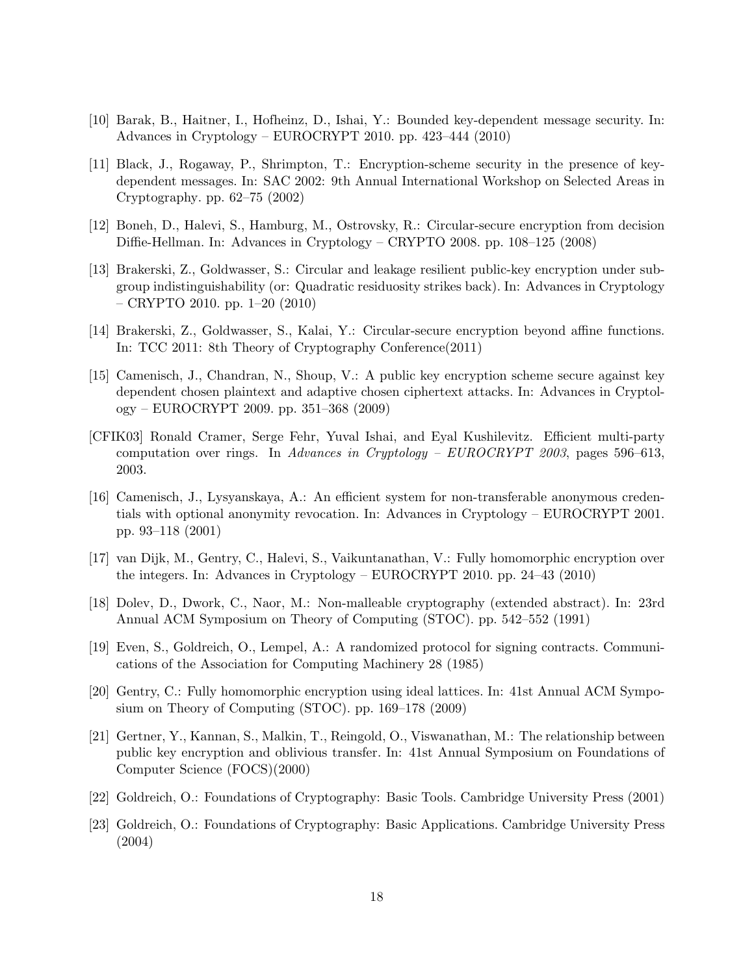- [10] Barak, B., Haitner, I., Hofheinz, D., Ishai, Y.: Bounded key-dependent message security. In: Advances in Cryptology – EUROCRYPT 2010. pp. 423–444 (2010)
- [11] Black, J., Rogaway, P., Shrimpton, T.: Encryption-scheme security in the presence of keydependent messages. In: SAC 2002: 9th Annual International Workshop on Selected Areas in Cryptography. pp. 62–75 (2002)
- [12] Boneh, D., Halevi, S., Hamburg, M., Ostrovsky, R.: Circular-secure encryption from decision Diffie-Hellman. In: Advances in Cryptology – CRYPTO 2008. pp. 108–125 (2008)
- [13] Brakerski, Z., Goldwasser, S.: Circular and leakage resilient public-key encryption under subgroup indistinguishability (or: Quadratic residuosity strikes back). In: Advances in Cryptology – CRYPTO 2010. pp. 1–20 (2010)
- [14] Brakerski, Z., Goldwasser, S., Kalai, Y.: Circular-secure encryption beyond affine functions. In: TCC 2011: 8th Theory of Cryptography Conference(2011)
- [15] Camenisch, J., Chandran, N., Shoup, V.: A public key encryption scheme secure against key dependent chosen plaintext and adaptive chosen ciphertext attacks. In: Advances in Cryptology – EUROCRYPT 2009. pp. 351–368 (2009)
- [CFIK03] Ronald Cramer, Serge Fehr, Yuval Ishai, and Eyal Kushilevitz. Efficient multi-party computation over rings. In *Advances in Cryptology – EUROCRYPT 2003*, pages 596–613, 2003.
- [16] Camenisch, J., Lysyanskaya, A.: An efficient system for non-transferable anonymous credentials with optional anonymity revocation. In: Advances in Cryptology – EUROCRYPT 2001. pp. 93–118 (2001)
- [17] van Dijk, M., Gentry, C., Halevi, S., Vaikuntanathan, V.: Fully homomorphic encryption over the integers. In: Advances in Cryptology – EUROCRYPT 2010. pp. 24–43 (2010)
- [18] Dolev, D., Dwork, C., Naor, M.: Non-malleable cryptography (extended abstract). In: 23rd Annual ACM Symposium on Theory of Computing (STOC). pp. 542–552 (1991)
- [19] Even, S., Goldreich, O., Lempel, A.: A randomized protocol for signing contracts. Communications of the Association for Computing Machinery 28 (1985)
- [20] Gentry, C.: Fully homomorphic encryption using ideal lattices. In: 41st Annual ACM Symposium on Theory of Computing (STOC). pp. 169–178 (2009)
- [21] Gertner, Y., Kannan, S., Malkin, T., Reingold, O., Viswanathan, M.: The relationship between public key encryption and oblivious transfer. In: 41st Annual Symposium on Foundations of Computer Science (FOCS)(2000)
- [22] Goldreich, O.: Foundations of Cryptography: Basic Tools. Cambridge University Press (2001)
- [23] Goldreich, O.: Foundations of Cryptography: Basic Applications. Cambridge University Press (2004)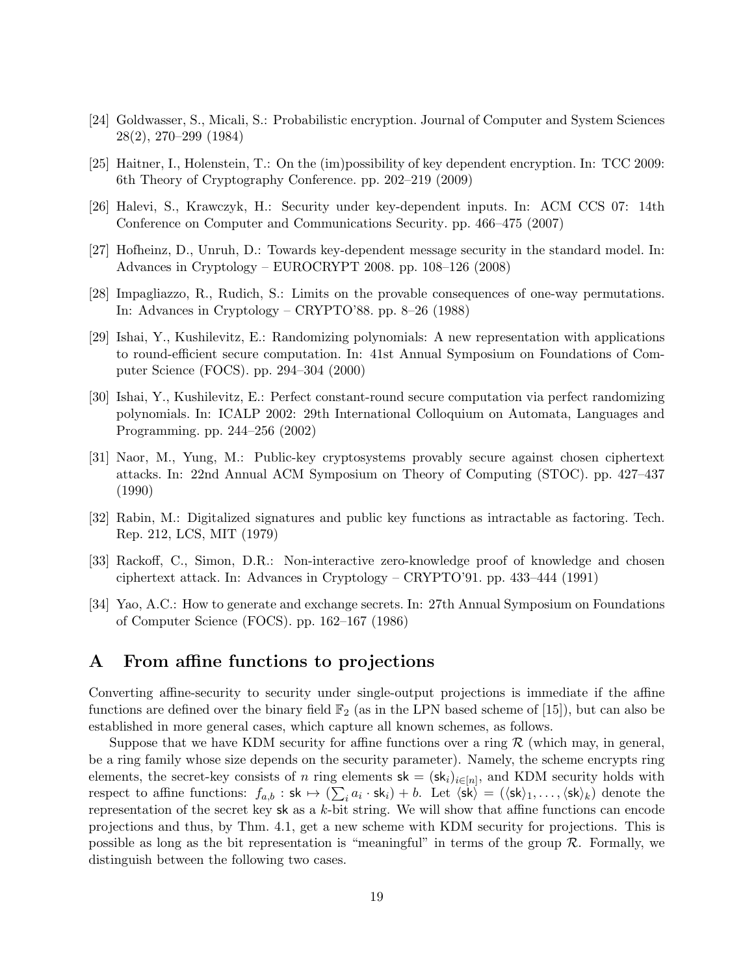- [24] Goldwasser, S., Micali, S.: Probabilistic encryption. Journal of Computer and System Sciences 28(2), 270–299 (1984)
- [25] Haitner, I., Holenstein, T.: On the (im)possibility of key dependent encryption. In: TCC 2009: 6th Theory of Cryptography Conference. pp. 202–219 (2009)
- [26] Halevi, S., Krawczyk, H.: Security under key-dependent inputs. In: ACM CCS 07: 14th Conference on Computer and Communications Security. pp. 466–475 (2007)
- [27] Hofheinz, D., Unruh, D.: Towards key-dependent message security in the standard model. In: Advances in Cryptology – EUROCRYPT 2008. pp. 108–126 (2008)
- [28] Impagliazzo, R., Rudich, S.: Limits on the provable consequences of one-way permutations. In: Advances in Cryptology – CRYPTO'88. pp. 8–26 (1988)
- [29] Ishai, Y., Kushilevitz, E.: Randomizing polynomials: A new representation with applications to round-efficient secure computation. In: 41st Annual Symposium on Foundations of Computer Science (FOCS). pp. 294–304 (2000)
- [30] Ishai, Y., Kushilevitz, E.: Perfect constant-round secure computation via perfect randomizing polynomials. In: ICALP 2002: 29th International Colloquium on Automata, Languages and Programming. pp. 244–256 (2002)
- [31] Naor, M., Yung, M.: Public-key cryptosystems provably secure against chosen ciphertext attacks. In: 22nd Annual ACM Symposium on Theory of Computing (STOC). pp. 427–437 (1990)
- [32] Rabin, M.: Digitalized signatures and public key functions as intractable as factoring. Tech. Rep. 212, LCS, MIT (1979)
- [33] Rackoff, C., Simon, D.R.: Non-interactive zero-knowledge proof of knowledge and chosen ciphertext attack. In: Advances in Cryptology – CRYPTO'91. pp. 433–444 (1991)
- [34] Yao, A.C.: How to generate and exchange secrets. In: 27th Annual Symposium on Foundations of Computer Science (FOCS). pp. 162–167 (1986)

# **A From affine functions to projections**

Converting affine-security to security under single-output projections is immediate if the affine functions are defined over the binary field  $\mathbb{F}_2$  (as in the LPN based scheme of [15]), but can also be established in more general cases, which capture all known schemes, as follows.

Suppose that we have KDM security for affine functions over a ring *R* (which may, in general, be a ring family whose size depends on the security parameter). Namely, the scheme encrypts ring elements, the secret-key consists of *n* ring elements  $sk = (sk_i)_{i \in [n]}$ , and KDM security holds with respect to affine functions:  $f_{a,b}$ :  $\mathsf{sk} \mapsto (\sum_i a_i \cdot \mathsf{sk}_i) + b$ . Let  $\langle \mathsf{sk} \rangle = (\langle \mathsf{sk} \rangle_1, \dots, \langle \mathsf{sk} \rangle_k)$  denote the representation of the secret key sk as a *k*-bit string. We will show that affine functions can encode projections and thus, by Thm. 4.1, get a new scheme with KDM security for projections. This is possible as long as the bit representation is "meaningful" in terms of the group *R*. Formally, we distinguish between the following two cases.